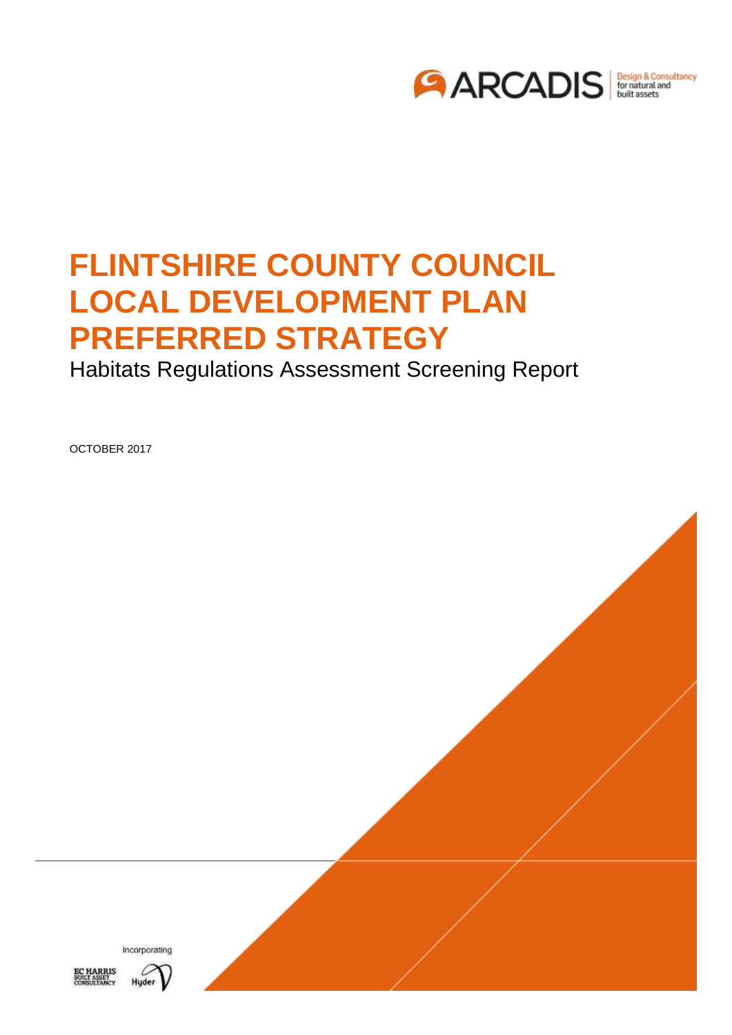

# **FLINTSHIRE COUNTY COUNCIL LOCAL DEVELOPMENT PLAN PREFERRED STRATEGY**

Habitats Regulations Assessment Screening Report

OCTOBER 2017





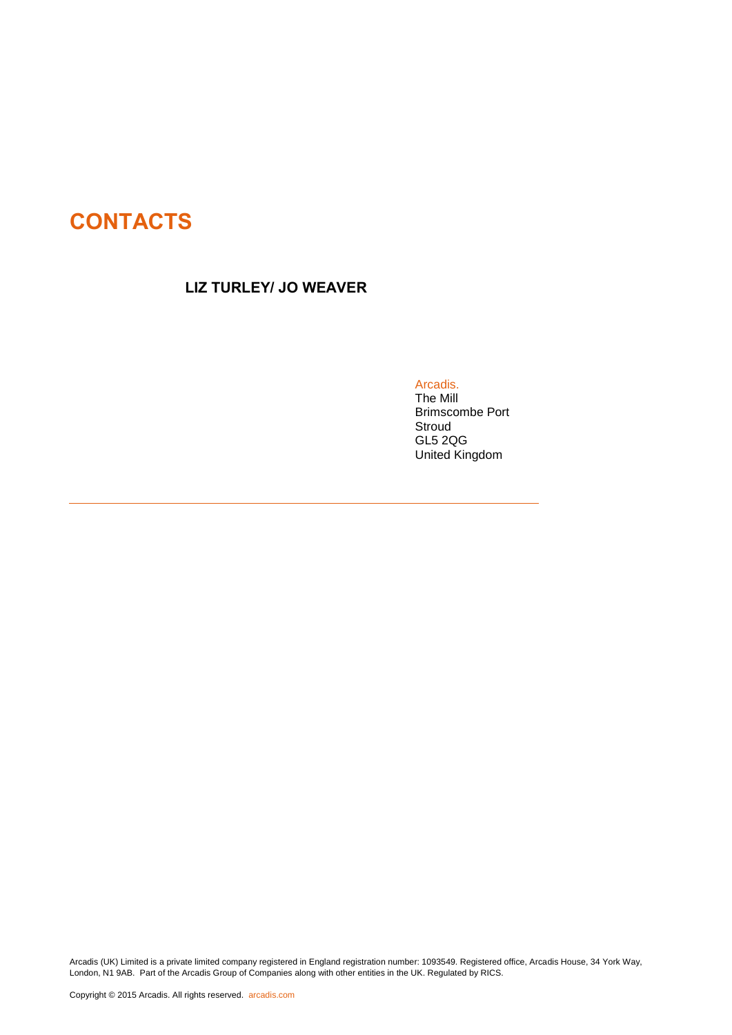# **CONTACTS**

## **LIZ TURLEY/ JO WEAVER**

Arcadis.

[The Mill](#page-27-0) [Brimscombe Port](#page-27-0) [Stroud](#page-27-0) [GL5 2QG](#page-27-0) [United Kingdom](#page-27-0)

Arcadis (UK) Limited is a private limited company registered in England registration number: 1093549. Registered office, Arcadis House, 34 York Way, London, N1 9AB. Part of the Arcadis Group of Companies along with other entities in the UK. Regulated by RICS.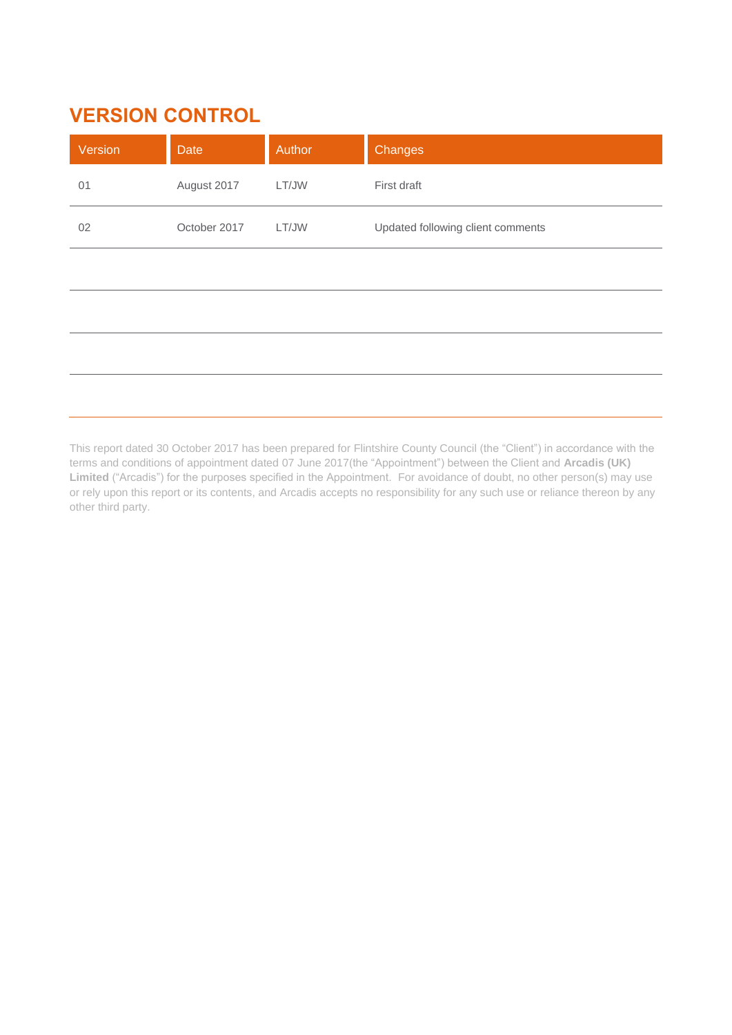# **VERSION CONTROL**

| Version | Date         | Author | Changes                           |
|---------|--------------|--------|-----------------------------------|
| 01      | August 2017  | LT/JW  | First draft                       |
| 02      | October 2017 | LT/JW  | Updated following client comments |
|         |              |        |                                   |
|         |              |        |                                   |
|         |              |        |                                   |
|         |              |        |                                   |

This report dated 30 October 2017 has been prepared for Flintshire County Council (the "Client") in accordance with the terms and conditions of appointment dated 07 June 2017(the "Appointment") between the Client and **Arcadis (UK) Limited** ("Arcadis") for the purposes specified in the Appointment. For avoidance of doubt, no other person(s) may use or rely upon this report or its contents, and Arcadis accepts no responsibility for any such use or reliance thereon by any other third party.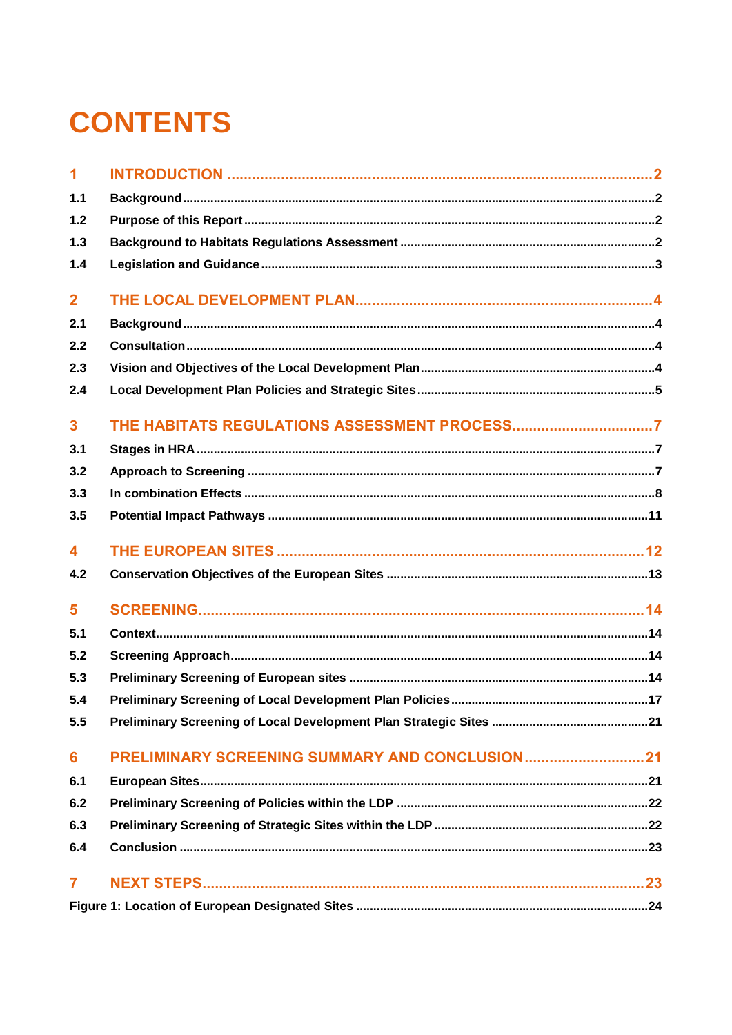# **CONTENTS**

| $\overline{1}$          |  |
|-------------------------|--|
| 1.1                     |  |
| 1.2                     |  |
| 1.3                     |  |
| 1.4                     |  |
| $\overline{\mathbf{2}}$ |  |
| 2.1                     |  |
| 2.2                     |  |
| 2.3                     |  |
| 2.4                     |  |
| 3                       |  |
| 3.1                     |  |
| 3.2                     |  |
| 3.3                     |  |
| 3.5                     |  |
| 4                       |  |
| 4.2                     |  |
| 5                       |  |
| 5.1                     |  |
| 5.2                     |  |
| 5.3                     |  |
| 5.4                     |  |
| 5.5                     |  |
| 6                       |  |
| 6.1                     |  |
| 6.2                     |  |
| 6.3                     |  |
| 6.4                     |  |
| $\overline{7}$          |  |
|                         |  |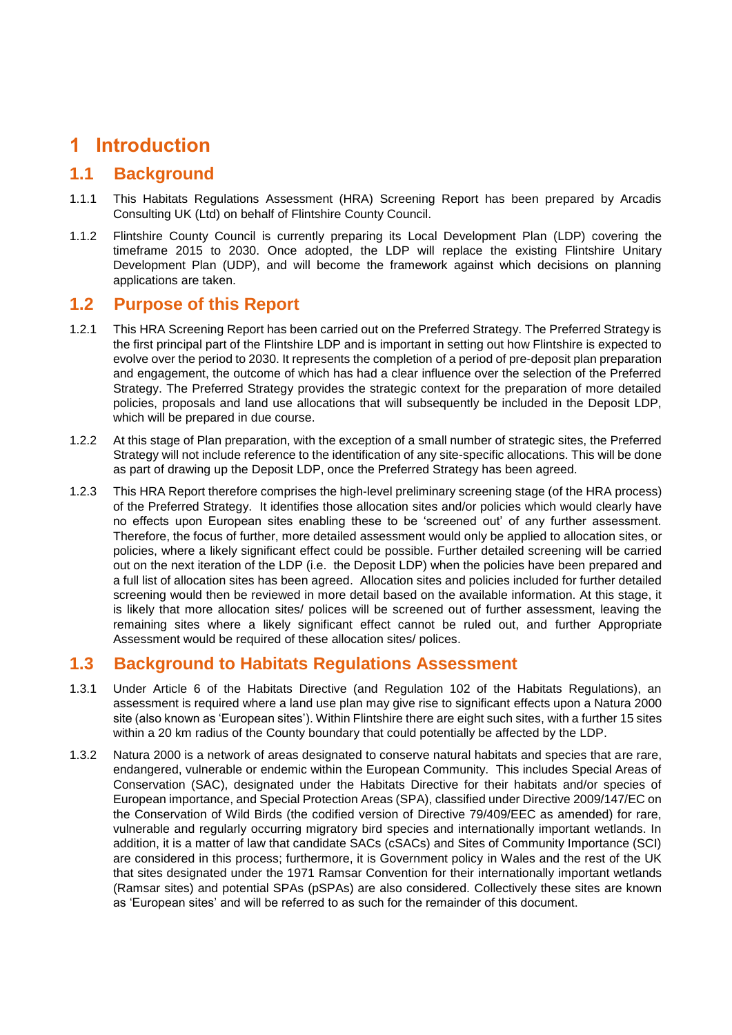# <span id="page-4-0"></span>**1 Introduction**

# <span id="page-4-1"></span>**1.1 Background**

- 1.1.1 This Habitats Regulations Assessment (HRA) Screening Report has been prepared by Arcadis Consulting UK (Ltd) on behalf of Flintshire County Council.
- 1.1.2 Flintshire County Council is currently preparing its Local Development Plan (LDP) covering the timeframe 2015 to 2030. Once adopted, the LDP will replace the existing Flintshire Unitary Development Plan (UDP), and will become the framework against which decisions on planning applications are taken.

## <span id="page-4-2"></span>**1.2 Purpose of this Report**

- 1.2.1 This HRA Screening Report has been carried out on the Preferred Strategy. The Preferred Strategy is the first principal part of the Flintshire LDP and is important in setting out how Flintshire is expected to evolve over the period to 2030. It represents the completion of a period of pre-deposit plan preparation and engagement, the outcome of which has had a clear influence over the selection of the Preferred Strategy. The Preferred Strategy provides the strategic context for the preparation of more detailed policies, proposals and land use allocations that will subsequently be included in the Deposit LDP, which will be prepared in due course.
- 1.2.2 At this stage of Plan preparation, with the exception of a small number of strategic sites, the Preferred Strategy will not include reference to the identification of any site-specific allocations. This will be done as part of drawing up the Deposit LDP, once the Preferred Strategy has been agreed.
- 1.2.3 This HRA Report therefore comprises the high-level preliminary screening stage (of the HRA process) of the Preferred Strategy. It identifies those allocation sites and/or policies which would clearly have no effects upon European sites enabling these to be 'screened out' of any further assessment. Therefore, the focus of further, more detailed assessment would only be applied to allocation sites, or policies, where a likely significant effect could be possible. Further detailed screening will be carried out on the next iteration of the LDP (i.e. the Deposit LDP) when the policies have been prepared and a full list of allocation sites has been agreed. Allocation sites and policies included for further detailed screening would then be reviewed in more detail based on the available information. At this stage, it is likely that more allocation sites/ polices will be screened out of further assessment, leaving the remaining sites where a likely significant effect cannot be ruled out, and further Appropriate Assessment would be required of these allocation sites/ polices.

# <span id="page-4-3"></span>**1.3 Background to Habitats Regulations Assessment**

- 1.3.1 Under Article 6 of the Habitats Directive (and Regulation 102 of the Habitats Regulations), an assessment is required where a land use plan may give rise to significant effects upon a Natura 2000 site (also known as 'European sites'). Within Flintshire there are eight such sites, with a further 15 sites within a 20 km radius of the County boundary that could potentially be affected by the LDP.
- 1.3.2 Natura 2000 is a network of areas designated to conserve natural habitats and species that are rare, endangered, vulnerable or endemic within the European Community. This includes Special Areas of Conservation (SAC), designated under the Habitats Directive for their habitats and/or species of European importance, and Special Protection Areas (SPA), classified under Directive 2009/147/EC on the Conservation of Wild Birds (the codified version of Directive 79/409/EEC as amended) for rare, vulnerable and regularly occurring migratory bird species and internationally important wetlands. In addition, it is a matter of law that candidate SACs (cSACs) and Sites of Community Importance (SCI) are considered in this process; furthermore, it is Government policy in Wales and the rest of the UK that sites designated under the 1971 Ramsar Convention for their internationally important wetlands (Ramsar sites) and potential SPAs (pSPAs) are also considered. Collectively these sites are known as 'European sites' and will be referred to as such for the remainder of this document.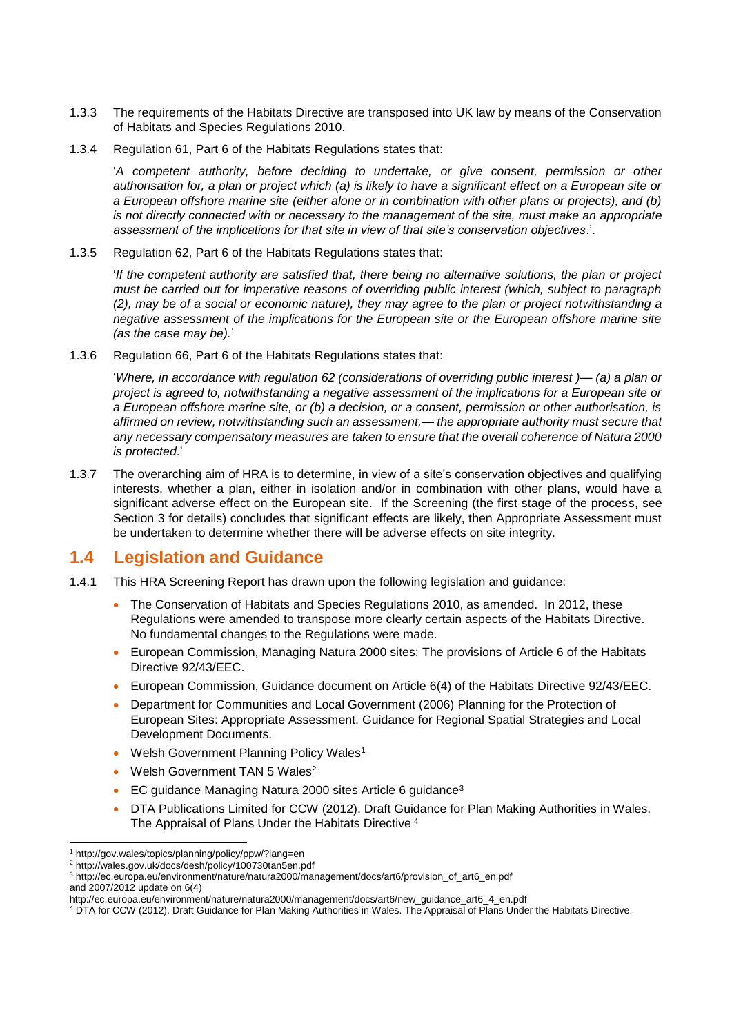- 1.3.3 The requirements of the Habitats Directive are transposed into UK law by means of the Conservation of Habitats and Species Regulations 2010.
- 1.3.4 Regulation 61, Part 6 of the Habitats Regulations states that:

'*A competent authority, before deciding to undertake, or give consent, permission or other authorisation for, a plan or project which (a) is likely to have a significant effect on a European site or a European offshore marine site (either alone or in combination with other plans or projects), and (b) is not directly connected with or necessary to the management of the site, must make an appropriate assessment of the implications for that site in view of that site's conservation objectives*.'.

1.3.5 Regulation 62, Part 6 of the Habitats Regulations states that:

'*If the competent authority are satisfied that, there being no alternative solutions, the plan or project must be carried out for imperative reasons of overriding public interest (which, subject to paragraph (2), may be of a social or economic nature), they may agree to the plan or project notwithstanding a negative assessment of the implications for the European site or the European offshore marine site (as the case may be).*'

1.3.6 Regulation 66, Part 6 of the Habitats Regulations states that:

'*Where, in accordance with regulation 62 (considerations of overriding public interest )— (a) a plan or project is agreed to, notwithstanding a negative assessment of the implications for a European site or a European offshore marine site, or (b) a decision, or a consent, permission or other authorisation, is affirmed on review, notwithstanding such an assessment,— the appropriate authority must secure that any necessary compensatory measures are taken to ensure that the overall coherence of Natura 2000 is protected*.'

1.3.7 The overarching aim of HRA is to determine, in view of a site's conservation objectives and qualifying interests, whether a plan, either in isolation and/or in combination with other plans, would have a significant adverse effect on the European site. If the Screening (the first stage of the process, see Section 3 for details) concludes that significant effects are likely, then Appropriate Assessment must be undertaken to determine whether there will be adverse effects on site integrity.

## <span id="page-5-0"></span>**1.4 Legislation and Guidance**

- 1.4.1 This HRA Screening Report has drawn upon the following legislation and guidance:
	- The Conservation of Habitats and Species Regulations 2010, as amended. In 2012, these Regulations were amended to transpose more clearly certain aspects of the Habitats Directive. No fundamental changes to the Regulations were made.
	- European Commission, Managing Natura 2000 sites: The provisions of Article 6 of the Habitats Directive 92/43/EEC.
	- European Commission, Guidance document on Article 6(4) of the Habitats Directive 92/43/EEC.
	- Department for Communities and Local Government (2006) Planning for the Protection of European Sites: Appropriate Assessment. Guidance for Regional Spatial Strategies and Local Development Documents.
	- Welsh Government Planning Policy Wales<sup>1</sup>
	- Welsh Government TAN 5 Wales<sup>2</sup>
	- EC guidance Managing Natura 2000 sites Article 6 guidance<sup>3</sup>
	- DTA Publications Limited for CCW (2012). Draft Guidance for Plan Making Authorities in Wales. The Appraisal of Plans Under the Habitats Directive <sup>4</sup>

<sup>-</sup><sup>1</sup> http://gov.wales/topics/planning/policy/ppw/?lang=en

<sup>2</sup> http://wales.gov.uk/docs/desh/policy/100730tan5en.pdf

<sup>3</sup> [http://ec.europa.eu/environment/nature/natura2000/management/docs/art6/provision\\_of\\_art6\\_en.pdf](http://ec.europa.eu/environment/nature/natura2000/management/docs/art6/provision_of_art6_en.pdf) and 2007/2012 update on 6(4)

http://ec.europa.eu/environment/nature/natura2000/management/docs/art6/new\_guidance\_art6\_4\_en.pdf

<sup>4</sup> DTA for CCW (2012). Draft Guidance for Plan Making Authorities in Wales. The Appraisal of Plans Under the Habitats Directive.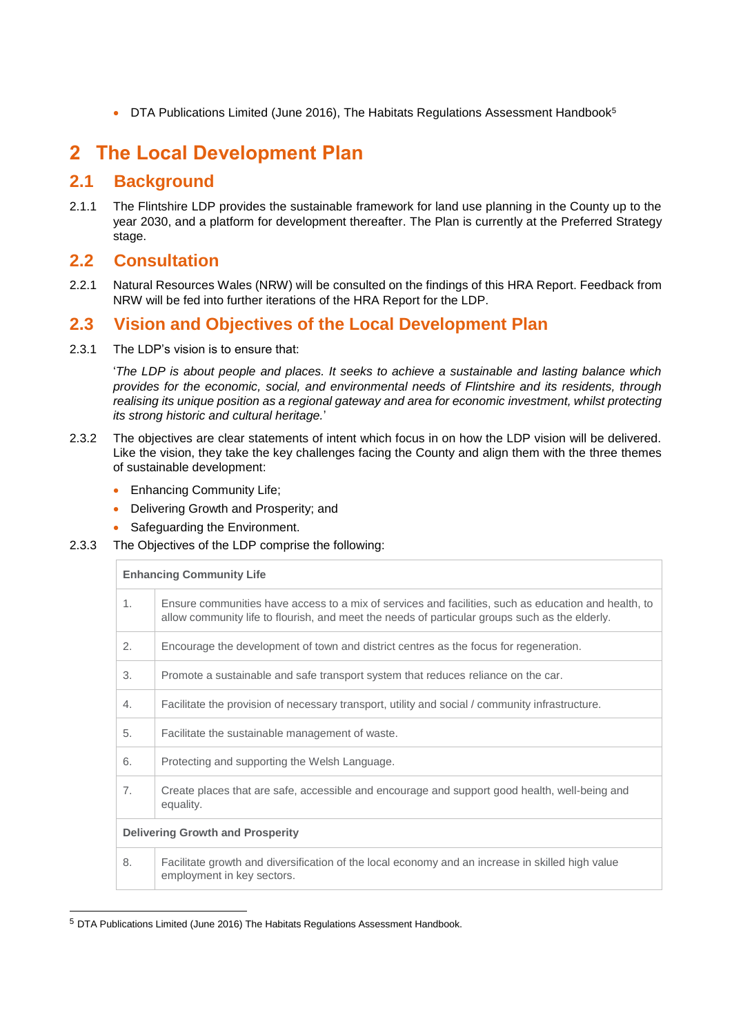DTA Publications Limited (June 2016), The Habitats Regulations Assessment Handbook<sup>5</sup>

# <span id="page-6-0"></span>**2 The Local Development Plan**

# <span id="page-6-1"></span>**2.1 Background**

2.1.1 The Flintshire LDP provides the sustainable framework for land use planning in the County up to the year 2030, and a platform for development thereafter. The Plan is currently at the Preferred Strategy stage.

## <span id="page-6-2"></span>**2.2 Consultation**

2.2.1 Natural Resources Wales (NRW) will be consulted on the findings of this HRA Report. Feedback from NRW will be fed into further iterations of the HRA Report for the LDP.

# <span id="page-6-3"></span>**2.3 Vision and Objectives of the Local Development Plan**

2.3.1 The LDP's vision is to ensure that:

'*The LDP is about people and places. It seeks to achieve a sustainable and lasting balance which provides for the economic, social, and environmental needs of Flintshire and its residents, through realising its unique position as a regional gateway and area for economic investment, whilst protecting its strong historic and cultural heritage.*'

- 2.3.2 The objectives are clear statements of intent which focus in on how the LDP vision will be delivered. Like the vision, they take the key challenges facing the County and align them with the three themes of sustainable development:
	- Enhancing Community Life;
	- Delivering Growth and Prosperity; and
	- Safeguarding the Environment.
- 2.3.3 The Objectives of the LDP comprise the following:

#### **Enhancing Community Life**

-

| 1. | Ensure communities have access to a mix of services and facilities, such as education and health, to<br>allow community life to flourish, and meet the needs of particular groups such as the elderly. |
|----|--------------------------------------------------------------------------------------------------------------------------------------------------------------------------------------------------------|
| 2. | Encourage the development of town and district centres as the focus for regeneration.                                                                                                                  |
| 3. | Promote a sustainable and safe transport system that reduces reliance on the car.                                                                                                                      |
| 4. | Facilitate the provision of necessary transport, utility and social / community infrastructure.                                                                                                        |
| 5. | Facilitate the sustainable management of waste.                                                                                                                                                        |
| 6. | Protecting and supporting the Welsh Language.                                                                                                                                                          |
| 7. | Create places that are safe, accessible and encourage and support good health, well-being and<br>equality.                                                                                             |
|    | <b>Delivering Growth and Prosperity</b>                                                                                                                                                                |
| 8. | Facilitate growth and diversification of the local economy and an increase in skilled high value<br>employment in key sectors.                                                                         |

<sup>5</sup> DTA Publications Limited (June 2016) The Habitats Regulations Assessment Handbook.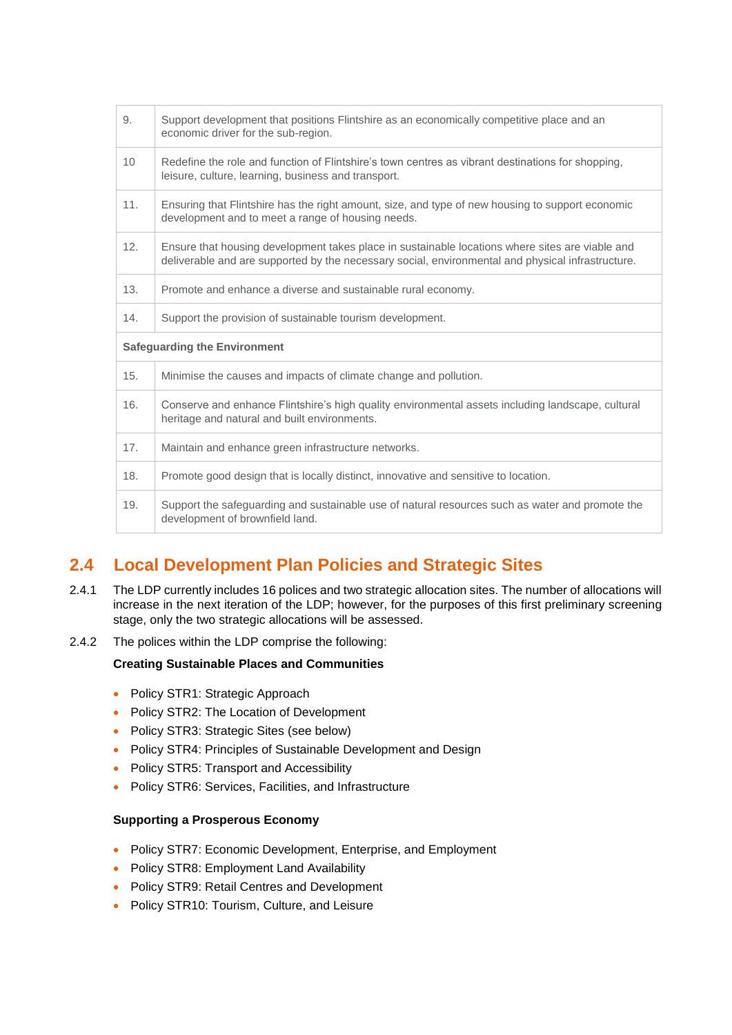| 9.              | Support development that positions Flintshire as an economically competitive place and an<br>economic driver for the sub-region.                                                                     |
|-----------------|------------------------------------------------------------------------------------------------------------------------------------------------------------------------------------------------------|
| 10 <sup>°</sup> | Redefine the role and function of Flintshire's town centres as vibrant destinations for shopping,<br>leisure, culture, learning, business and transport.                                             |
| 11.             | Ensuring that Flintshire has the right amount, size, and type of new housing to support economic<br>development and to meet a range of housing needs.                                                |
| 12.             | Ensure that housing development takes place in sustainable locations where sites are viable and<br>deliverable and are supported by the necessary social, environmental and physical infrastructure. |
| 13.             | Promote and enhance a diverse and sustainable rural economy.                                                                                                                                         |
| 14.             | Support the provision of sustainable tourism development.                                                                                                                                            |
|                 | <b>Safeguarding the Environment</b>                                                                                                                                                                  |
| 15.             | Minimise the causes and impacts of climate change and pollution.                                                                                                                                     |
| 16.             | Conserve and enhance Flintshire's high quality environmental assets including landscape, cultural<br>heritage and natural and built environments.                                                    |
| 17.             | Maintain and enhance green infrastructure networks.                                                                                                                                                  |
| 18.             | Promote good design that is locally distinct, innovative and sensitive to location.                                                                                                                  |
| 19.             | Support the safeguarding and sustainable use of natural resources such as water and promote the<br>development of brownfield land.                                                                   |

# <span id="page-7-0"></span>**2.4 Local Development Plan Policies and Strategic Sites**

- 2.4.1 The LDP currently includes 16 polices and two strategic allocation sites. The number of allocations will increase in the next iteration of the LDP; however, for the purposes of this first preliminary screening stage, only the two strategic allocations will be assessed.
- 2.4.2 The polices within the LDP comprise the following:

#### **Creating Sustainable Places and Communities**

- Policy STR1: Strategic Approach
- Policy STR2: The Location of Development
- Policy STR3: Strategic Sites (see below)
- Policy STR4: Principles of Sustainable Development and Design
- Policy STR5: Transport and Accessibility
- Policy STR6: Services, Facilities, and Infrastructure

#### **Supporting a Prosperous Economy**

- Policy STR7: Economic Development, Enterprise, and Employment
- Policy STR8: Employment Land Availability
- Policy STR9: Retail Centres and Development
- Policy STR10: Tourism, Culture, and Leisure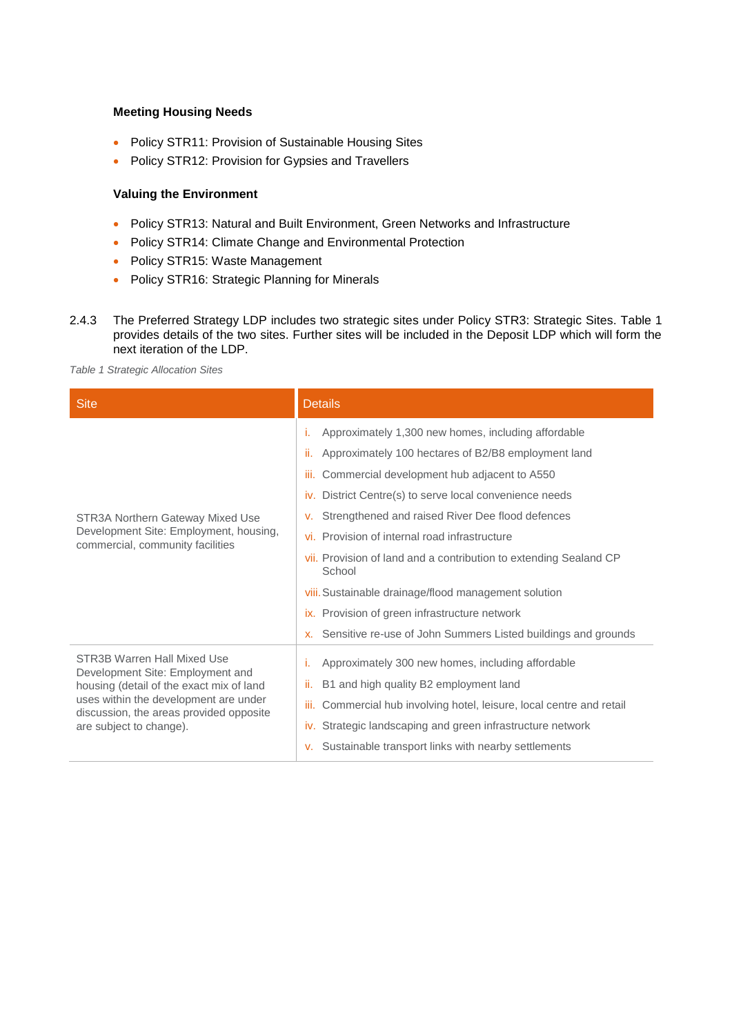#### **Meeting Housing Needs**

- Policy STR11: Provision of Sustainable Housing Sites
- Policy STR12: Provision for Gypsies and Travellers

#### **Valuing the Environment**

- Policy STR13: Natural and Built Environment, Green Networks and Infrastructure
- Policy STR14: Climate Change and Environmental Protection
- Policy STR15: Waste Management
- Policy STR16: Strategic Planning for Minerals
- 2.4.3 The Preferred Strategy LDP includes two strategic sites under Policy STR3: Strategic Sites. [Table 1](#page-8-0) provides details of the two sites. Further sites will be included in the Deposit LDP which will form the next iteration of the LDP.

<span id="page-8-0"></span>*Table 1 Strategic Allocation Sites*

| <b>Site</b>                                                                                                                                                                                                                | <b>Details</b>                                                                                                                                                                                                                                                                                                                                                                                                                                                                                                                                                                                                      |  |  |
|----------------------------------------------------------------------------------------------------------------------------------------------------------------------------------------------------------------------------|---------------------------------------------------------------------------------------------------------------------------------------------------------------------------------------------------------------------------------------------------------------------------------------------------------------------------------------------------------------------------------------------------------------------------------------------------------------------------------------------------------------------------------------------------------------------------------------------------------------------|--|--|
| STR3A Northern Gateway Mixed Use<br>Development Site: Employment, housing,<br>commercial, community facilities                                                                                                             | Approximately 1,300 new homes, including affordable<br>т.<br>ii.<br>Approximately 100 hectares of B2/B8 employment land<br>Commercial development hub adjacent to A550<br>iii.<br>iv. District Centre(s) to serve local convenience needs<br>Strengthened and raised River Dee flood defences<br>v.<br>vi. Provision of internal road infrastructure<br>vii. Provision of land and a contribution to extending Sealand CP<br>School<br>viii. Sustainable drainage/flood management solution<br>ix. Provision of green infrastructure network<br>Sensitive re-use of John Summers Listed buildings and grounds<br>X. |  |  |
| STR3B Warren Hall Mixed Use<br>Development Site: Employment and<br>housing (detail of the exact mix of land<br>uses within the development are under<br>discussion, the areas provided opposite<br>are subject to change). | Approximately 300 new homes, including affordable<br>т.<br>ii.<br>B1 and high quality B2 employment land<br>iii.<br>Commercial hub involving hotel, leisure, local centre and retail<br>Strategic landscaping and green infrastructure network<br>İV.<br>Sustainable transport links with nearby settlements<br>v.                                                                                                                                                                                                                                                                                                  |  |  |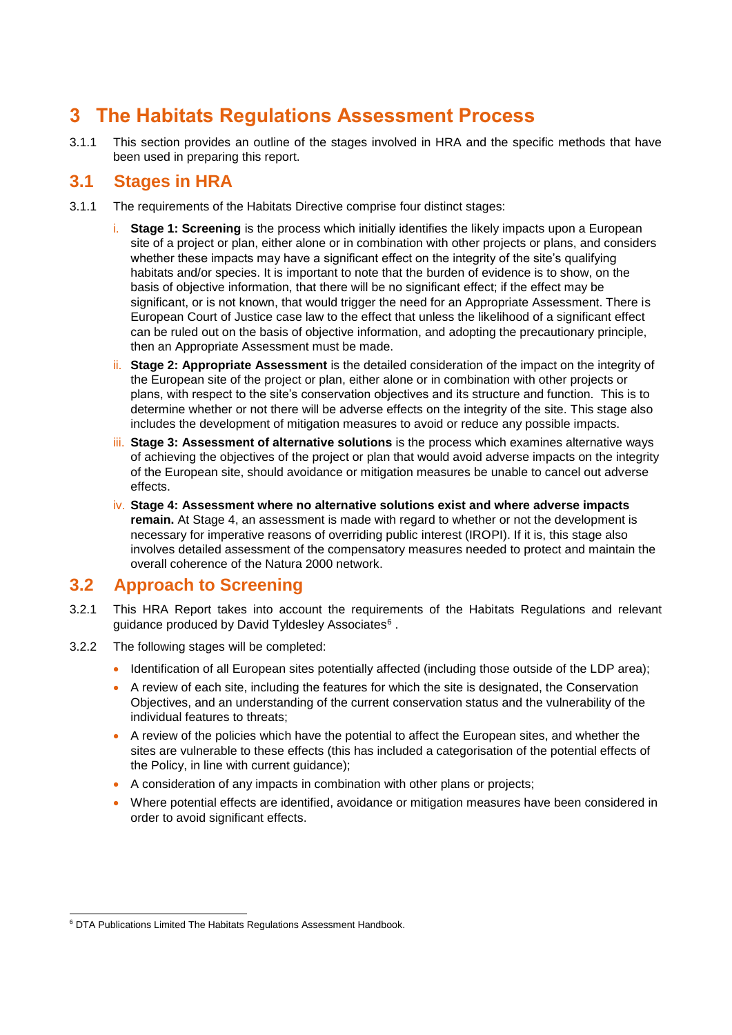# <span id="page-9-0"></span>**3 The Habitats Regulations Assessment Process**

3.1.1 This section provides an outline of the stages involved in HRA and the specific methods that have been used in preparing this report.

# <span id="page-9-1"></span>**3.1 Stages in HRA**

- 3.1.1 The requirements of the Habitats Directive comprise four distinct stages:
	- i. **Stage 1: Screening** is the process which initially identifies the likely impacts upon a European site of a project or plan, either alone or in combination with other projects or plans, and considers whether these impacts may have a significant effect on the integrity of the site's qualifying habitats and/or species. It is important to note that the burden of evidence is to show, on the basis of objective information, that there will be no significant effect; if the effect may be significant, or is not known, that would trigger the need for an Appropriate Assessment. There is European Court of Justice case law to the effect that unless the likelihood of a significant effect can be ruled out on the basis of objective information, and adopting the precautionary principle, then an Appropriate Assessment must be made.
	- ii. **Stage 2: Appropriate Assessment** is the detailed consideration of the impact on the integrity of the European site of the project or plan, either alone or in combination with other projects or plans, with respect to the site's conservation objectives and its structure and function. This is to determine whether or not there will be adverse effects on the integrity of the site. This stage also includes the development of mitigation measures to avoid or reduce any possible impacts.
	- iii. **Stage 3: Assessment of alternative solutions** is the process which examines alternative ways of achieving the objectives of the project or plan that would avoid adverse impacts on the integrity of the European site, should avoidance or mitigation measures be unable to cancel out adverse effects.
	- iv. **Stage 4: Assessment where no alternative solutions exist and where adverse impacts remain.** At Stage 4, an assessment is made with regard to whether or not the development is necessary for imperative reasons of overriding public interest (IROPI). If it is, this stage also involves detailed assessment of the compensatory measures needed to protect and maintain the overall coherence of the Natura 2000 network.

# <span id="page-9-2"></span>**3.2 Approach to Screening**

- 3.2.1 This HRA Report takes into account the requirements of the Habitats Regulations and relevant guidance produced by David Tyldesley Associates<sup>6</sup>.
- 3.2.2 The following stages will be completed:
	- Identification of all European sites potentially affected (including those outside of the LDP area);
	- A review of each site, including the features for which the site is designated, the Conservation Objectives, and an understanding of the current conservation status and the vulnerability of the individual features to threats;
	- A review of the policies which have the potential to affect the European sites, and whether the sites are vulnerable to these effects (this has included a categorisation of the potential effects of the Policy, in line with current guidance);
	- A consideration of any impacts in combination with other plans or projects;
	- Where potential effects are identified, avoidance or mitigation measures have been considered in order to avoid significant effects.

<sup>-</sup><sup>6</sup> DTA Publications Limited The Habitats Regulations Assessment Handbook.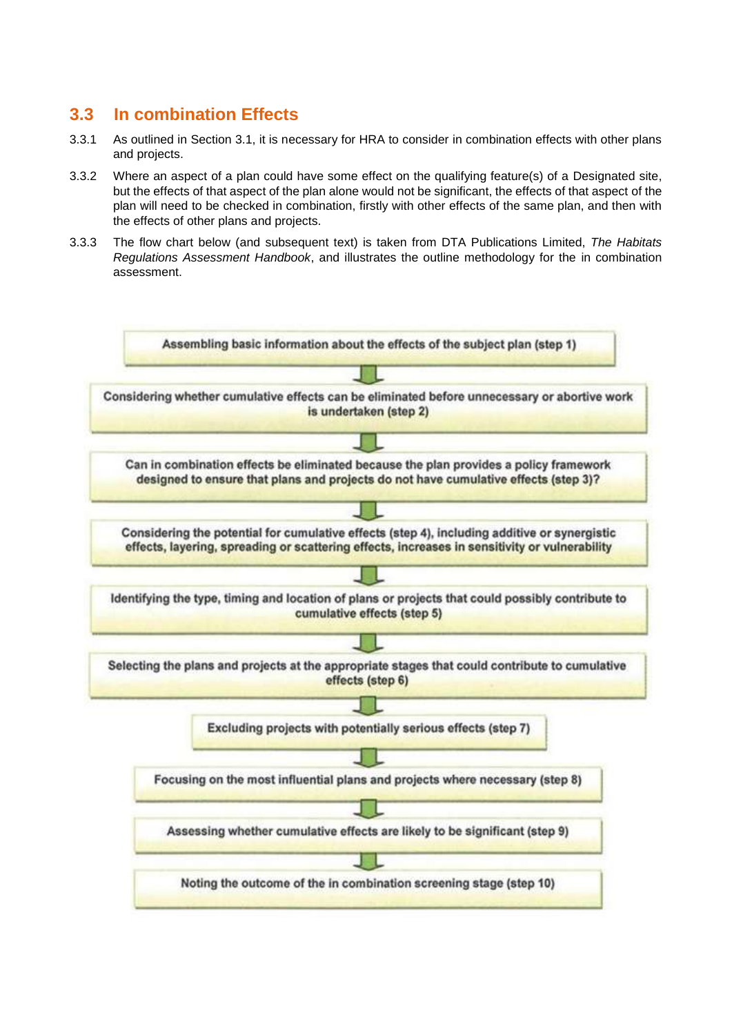# <span id="page-10-0"></span>**3.3 In combination Effects**

- 3.3.1 As outlined in Section 3.1, it is necessary for HRA to consider in combination effects with other plans and projects.
- 3.3.2 Where an aspect of a plan could have some effect on the qualifying feature(s) of a Designated site, but the effects of that aspect of the plan alone would not be significant, the effects of that aspect of the plan will need to be checked in combination, firstly with other effects of the same plan, and then with the effects of other plans and projects.
- 3.3.3 The flow chart below (and subsequent text) is taken from DTA Publications Limited, *The Habitats Regulations Assessment Handbook*, and illustrates the outline methodology for the in combination assessment.

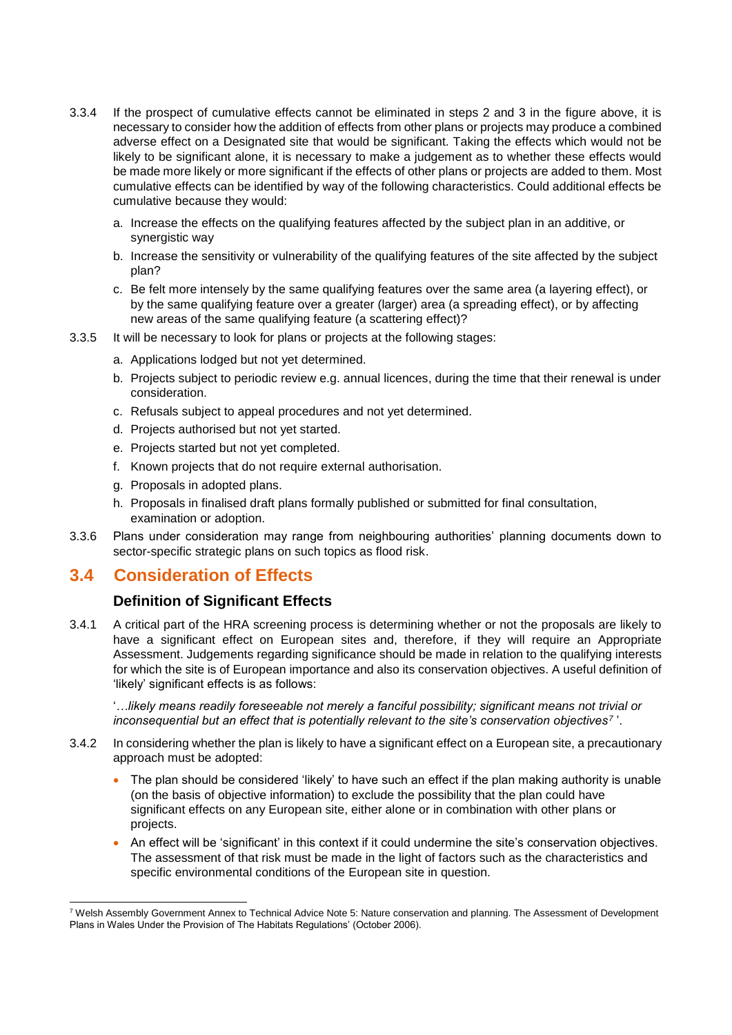- 3.3.4 If the prospect of cumulative effects cannot be eliminated in steps 2 and 3 in the figure above, it is necessary to consider how the addition of effects from other plans or projects may produce a combined adverse effect on a Designated site that would be significant. Taking the effects which would not be likely to be significant alone, it is necessary to make a judgement as to whether these effects would be made more likely or more significant if the effects of other plans or projects are added to them. Most cumulative effects can be identified by way of the following characteristics. Could additional effects be cumulative because they would:
	- a. Increase the effects on the qualifying features affected by the subject plan in an additive, or synergistic way
	- b. Increase the sensitivity or vulnerability of the qualifying features of the site affected by the subject plan?
	- c. Be felt more intensely by the same qualifying features over the same area (a layering effect), or by the same qualifying feature over a greater (larger) area (a spreading effect), or by affecting new areas of the same qualifying feature (a scattering effect)?
- 3.3.5 It will be necessary to look for plans or projects at the following stages:
	- a. Applications lodged but not yet determined.
	- b. Projects subject to periodic review e.g. annual licences, during the time that their renewal is under consideration.
	- c. Refusals subject to appeal procedures and not yet determined.
	- d. Projects authorised but not yet started.
	- e. Projects started but not yet completed.
	- f. Known projects that do not require external authorisation.
	- g. Proposals in adopted plans.
	- h. Proposals in finalised draft plans formally published or submitted for final consultation, examination or adoption.
- 3.3.6 Plans under consideration may range from neighbouring authorities' planning documents down to sector-specific strategic plans on such topics as flood risk.

## **3.4 Consideration of Effects**

#### **Definition of Significant Effects**

3.4.1 A critical part of the HRA screening process is determining whether or not the proposals are likely to have a significant effect on European sites and, therefore, if they will require an Appropriate Assessment. Judgements regarding significance should be made in relation to the qualifying interests for which the site is of European importance and also its conservation objectives. A useful definition of 'likely' significant effects is as follows:

'*…likely means readily foreseeable not merely a fanciful possibility; significant means not trivial or inconsequential but an effect that is potentially relevant to the site's conservation objectives<sup>7</sup>* '.

- 3.4.2 In considering whether the plan is likely to have a significant effect on a European site, a precautionary approach must be adopted:
	- The plan should be considered 'likely' to have such an effect if the plan making authority is unable (on the basis of objective information) to exclude the possibility that the plan could have significant effects on any European site, either alone or in combination with other plans or projects.
	- An effect will be 'significant' in this context if it could undermine the site's conservation objectives. The assessment of that risk must be made in the light of factors such as the characteristics and specific environmental conditions of the European site in question.

<sup>-</sup><sup>7</sup> Welsh Assembly Government Annex to Technical Advice Note 5: Nature conservation and planning. The Assessment of Development Plans in Wales Under the Provision of The Habitats Regulations' (October 2006).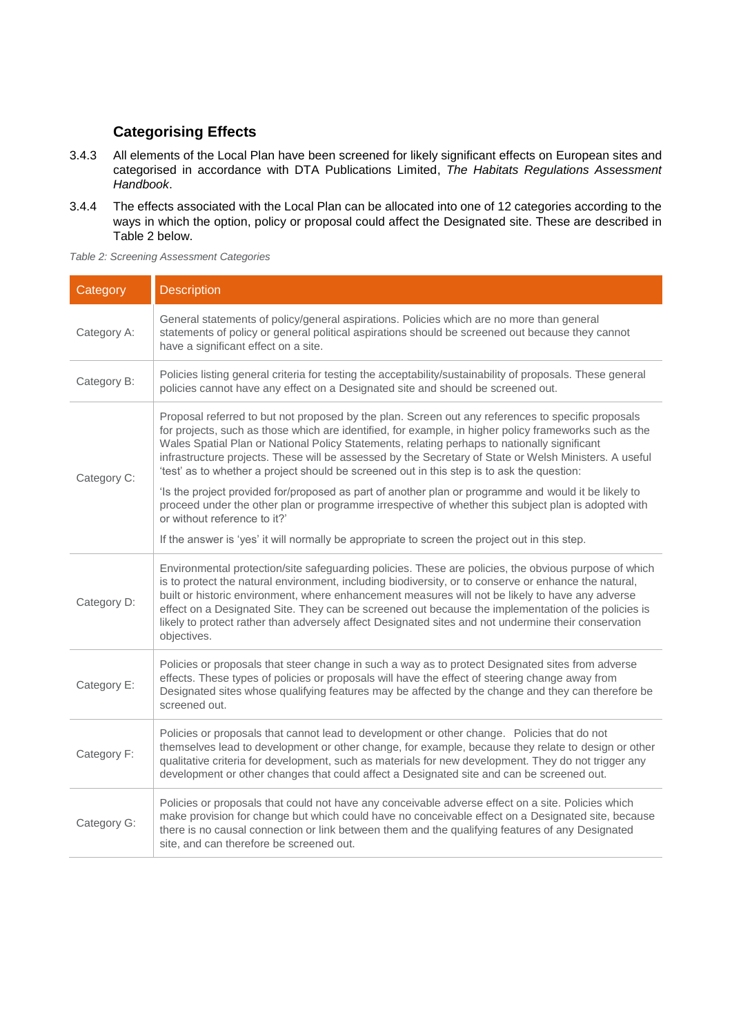## **Categorising Effects**

- 3.4.3 All elements of the Local Plan have been screened for likely significant effects on European sites and categorised in accordance with DTA Publications Limited, *The Habitats Regulations Assessment Handbook*.
- 3.4.4 The effects associated with the Local Plan can be allocated into one of 12 categories according to the ways in which the option, policy or proposal could affect the Designated site. These are described in [Table 2](#page-12-0) below.

<span id="page-12-0"></span>

|  | Table 2: Screening Assessment Categories |  |
|--|------------------------------------------|--|
|  |                                          |  |

| Category    | <b>Description</b>                                                                                                                                                                                                                                                                                                                                                                                                                                                                                                                               |
|-------------|--------------------------------------------------------------------------------------------------------------------------------------------------------------------------------------------------------------------------------------------------------------------------------------------------------------------------------------------------------------------------------------------------------------------------------------------------------------------------------------------------------------------------------------------------|
| Category A: | General statements of policy/general aspirations. Policies which are no more than general<br>statements of policy or general political aspirations should be screened out because they cannot<br>have a significant effect on a site.                                                                                                                                                                                                                                                                                                            |
| Category B: | Policies listing general criteria for testing the acceptability/sustainability of proposals. These general<br>policies cannot have any effect on a Designated site and should be screened out.                                                                                                                                                                                                                                                                                                                                                   |
| Category C: | Proposal referred to but not proposed by the plan. Screen out any references to specific proposals<br>for projects, such as those which are identified, for example, in higher policy frameworks such as the<br>Wales Spatial Plan or National Policy Statements, relating perhaps to nationally significant<br>infrastructure projects. These will be assessed by the Secretary of State or Welsh Ministers. A useful<br>'test' as to whether a project should be screened out in this step is to ask the question:                             |
|             | 'Is the project provided for/proposed as part of another plan or programme and would it be likely to<br>proceed under the other plan or programme irrespective of whether this subject plan is adopted with<br>or without reference to it?'                                                                                                                                                                                                                                                                                                      |
|             | If the answer is 'yes' it will normally be appropriate to screen the project out in this step.                                                                                                                                                                                                                                                                                                                                                                                                                                                   |
| Category D: | Environmental protection/site safeguarding policies. These are policies, the obvious purpose of which<br>is to protect the natural environment, including biodiversity, or to conserve or enhance the natural,<br>built or historic environment, where enhancement measures will not be likely to have any adverse<br>effect on a Designated Site. They can be screened out because the implementation of the policies is<br>likely to protect rather than adversely affect Designated sites and not undermine their conservation<br>objectives. |
| Category E: | Policies or proposals that steer change in such a way as to protect Designated sites from adverse<br>effects. These types of policies or proposals will have the effect of steering change away from<br>Designated sites whose qualifying features may be affected by the change and they can therefore be<br>screened out.                                                                                                                                                                                                                      |
| Category F: | Policies or proposals that cannot lead to development or other change. Policies that do not<br>themselves lead to development or other change, for example, because they relate to design or other<br>qualitative criteria for development, such as materials for new development. They do not trigger any<br>development or other changes that could affect a Designated site and can be screened out.                                                                                                                                          |
| Category G: | Policies or proposals that could not have any conceivable adverse effect on a site. Policies which<br>make provision for change but which could have no conceivable effect on a Designated site, because<br>there is no causal connection or link between them and the qualifying features of any Designated<br>site, and can therefore be screened out.                                                                                                                                                                                         |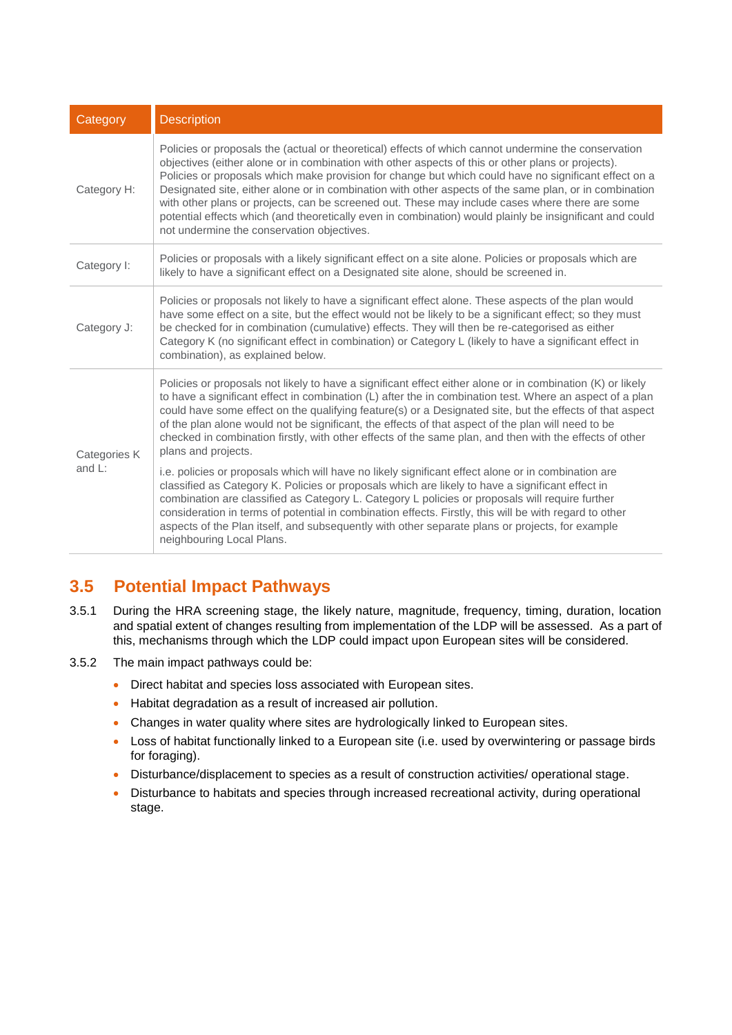| Category     | <b>Description</b>                                                                                                                                                                                                                                                                                                                                                                                                                                                                                                                                                                                                                                                                         |  |  |
|--------------|--------------------------------------------------------------------------------------------------------------------------------------------------------------------------------------------------------------------------------------------------------------------------------------------------------------------------------------------------------------------------------------------------------------------------------------------------------------------------------------------------------------------------------------------------------------------------------------------------------------------------------------------------------------------------------------------|--|--|
| Category H:  | Policies or proposals the (actual or theoretical) effects of which cannot undermine the conservation<br>objectives (either alone or in combination with other aspects of this or other plans or projects).<br>Policies or proposals which make provision for change but which could have no significant effect on a<br>Designated site, either alone or in combination with other aspects of the same plan, or in combination<br>with other plans or projects, can be screened out. These may include cases where there are some<br>potential effects which (and theoretically even in combination) would plainly be insignificant and could<br>not undermine the conservation objectives. |  |  |
| Category I:  | Policies or proposals with a likely significant effect on a site alone. Policies or proposals which are<br>likely to have a significant effect on a Designated site alone, should be screened in.                                                                                                                                                                                                                                                                                                                                                                                                                                                                                          |  |  |
| Category J:  | Policies or proposals not likely to have a significant effect alone. These aspects of the plan would<br>have some effect on a site, but the effect would not be likely to be a significant effect; so they must<br>be checked for in combination (cumulative) effects. They will then be re-categorised as either<br>Category K (no significant effect in combination) or Category L (likely to have a significant effect in<br>combination), as explained below.                                                                                                                                                                                                                          |  |  |
| Categories K | Policies or proposals not likely to have a significant effect either alone or in combination (K) or likely<br>to have a significant effect in combination (L) after the in combination test. Where an aspect of a plan<br>could have some effect on the qualifying feature(s) or a Designated site, but the effects of that aspect<br>of the plan alone would not be significant, the effects of that aspect of the plan will need to be<br>checked in combination firstly, with other effects of the same plan, and then with the effects of other<br>plans and projects.                                                                                                                 |  |  |
| and $L$ :    | i.e. policies or proposals which will have no likely significant effect alone or in combination are<br>classified as Category K. Policies or proposals which are likely to have a significant effect in<br>combination are classified as Category L. Category L policies or proposals will require further<br>consideration in terms of potential in combination effects. Firstly, this will be with regard to other<br>aspects of the Plan itself, and subsequently with other separate plans or projects, for example<br>neighbouring Local Plans.                                                                                                                                       |  |  |

# <span id="page-13-0"></span>**3.5 Potential Impact Pathways**

- 3.5.1 During the HRA screening stage, the likely nature, magnitude, frequency, timing, duration, location and spatial extent of changes resulting from implementation of the LDP will be assessed. As a part of this, mechanisms through which the LDP could impact upon European sites will be considered.
- 3.5.2 The main impact pathways could be:
	- Direct habitat and species loss associated with European sites.
	- Habitat degradation as a result of increased air pollution.
	- Changes in water quality where sites are hydrologically linked to European sites.
	- Loss of habitat functionally linked to a European site (i.e. used by overwintering or passage birds for foraging).
	- Disturbance/displacement to species as a result of construction activities/ operational stage.
	- Disturbance to habitats and species through increased recreational activity, during operational stage.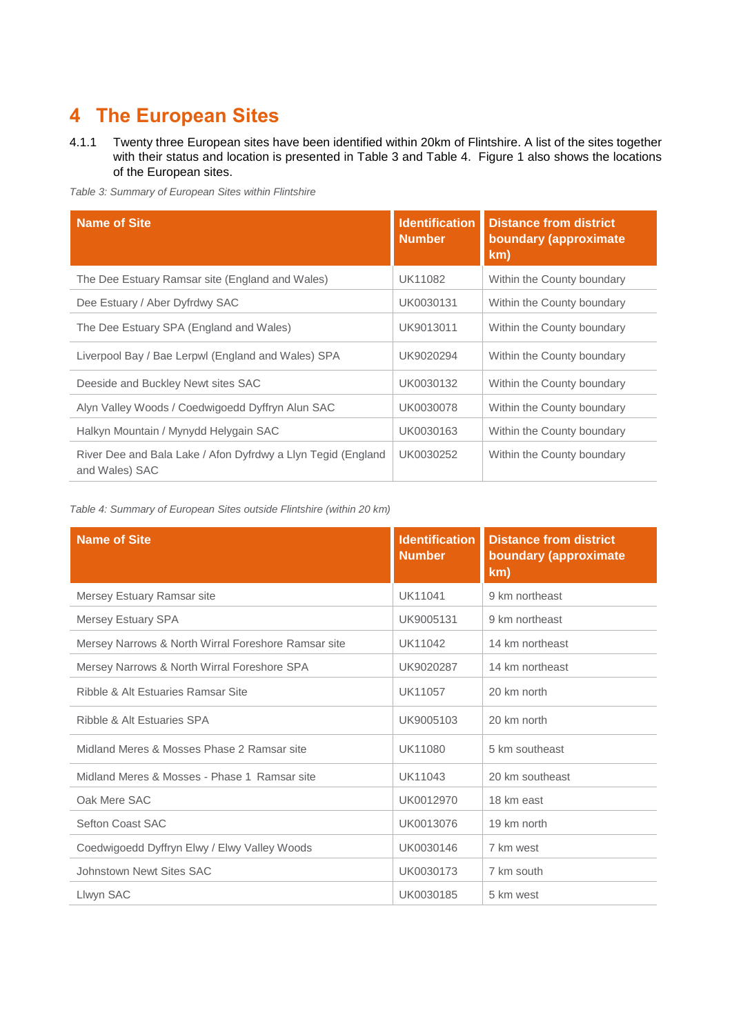# <span id="page-14-0"></span>**4 The European Sites**

4.1.1 Twenty three European sites have been identified within 20km of Flintshire. A list of the sites together with their status and location is presented in [Table 3](#page-14-1) and [Table 4.](#page-14-2) Figure 1 also shows the locations of the European sites.

<span id="page-14-1"></span>*Table 3: Summary of European Sites within Flintshire*

| <b>Name of Site</b>                                                            | <b>Identification</b><br><b>Number</b> | <b>Distance from district</b><br>boundary (approximate<br>km) |
|--------------------------------------------------------------------------------|----------------------------------------|---------------------------------------------------------------|
| The Dee Estuary Ramsar site (England and Wales)                                | UK11082                                | Within the County boundary                                    |
| Dee Estuary / Aber Dyfrdwy SAC                                                 | UK0030131                              | Within the County boundary                                    |
| The Dee Estuary SPA (England and Wales)                                        | UK9013011                              | Within the County boundary                                    |
| Liverpool Bay / Bae Lerpwl (England and Wales) SPA                             | UK9020294                              | Within the County boundary                                    |
| Deeside and Buckley Newt sites SAC                                             | UK0030132                              | Within the County boundary                                    |
| Alyn Valley Woods / Coedwigoedd Dyffryn Alun SAC                               | UK0030078                              | Within the County boundary                                    |
| Halkyn Mountain / Mynydd Helygain SAC                                          | UK0030163                              | Within the County boundary                                    |
| River Dee and Bala Lake / Afon Dyfrdwy a Llyn Tegid (England<br>and Wales) SAC | UK0030252                              | Within the County boundary                                    |

<span id="page-14-2"></span>*Table 4: Summary of European Sites outside Flintshire (within 20 km)*

| <b>Name of Site</b>                                 | <b>Identification</b><br><b>Number</b> | <b>Distance from district</b><br>boundary (approximate<br>km) |
|-----------------------------------------------------|----------------------------------------|---------------------------------------------------------------|
| Mersey Estuary Ramsar site                          | UK11041                                | 9 km northeast                                                |
| Mersey Estuary SPA                                  | UK9005131                              | 9 km northeast                                                |
| Mersey Narrows & North Wirral Foreshore Ramsar site | UK11042                                | 14 km northeast                                               |
| Mersey Narrows & North Wirral Foreshore SPA         | UK9020287                              | 14 km northeast                                               |
| Ribble & Alt Estuaries Ramsar Site                  | UK11057                                | 20 km north                                                   |
| Ribble & Alt Estuaries SPA                          | UK9005103                              | 20 km north                                                   |
| Midland Meres & Mosses Phase 2 Ramsar site          | UK11080                                | 5 km southeast                                                |
| Midland Meres & Mosses - Phase 1 Ramsar site        | UK11043                                | 20 km southeast                                               |
| Oak Mere SAC                                        | UK0012970                              | 18 km east                                                    |
| <b>Sefton Coast SAC</b>                             | UK0013076                              | 19 km north                                                   |
| Coedwigoedd Dyffryn Elwy / Elwy Valley Woods        | UK0030146                              | 7 km west                                                     |
| Johnstown Newt Sites SAC                            | UK0030173                              | 7 km south                                                    |
| Llwyn SAC                                           | UK0030185                              | 5 km west                                                     |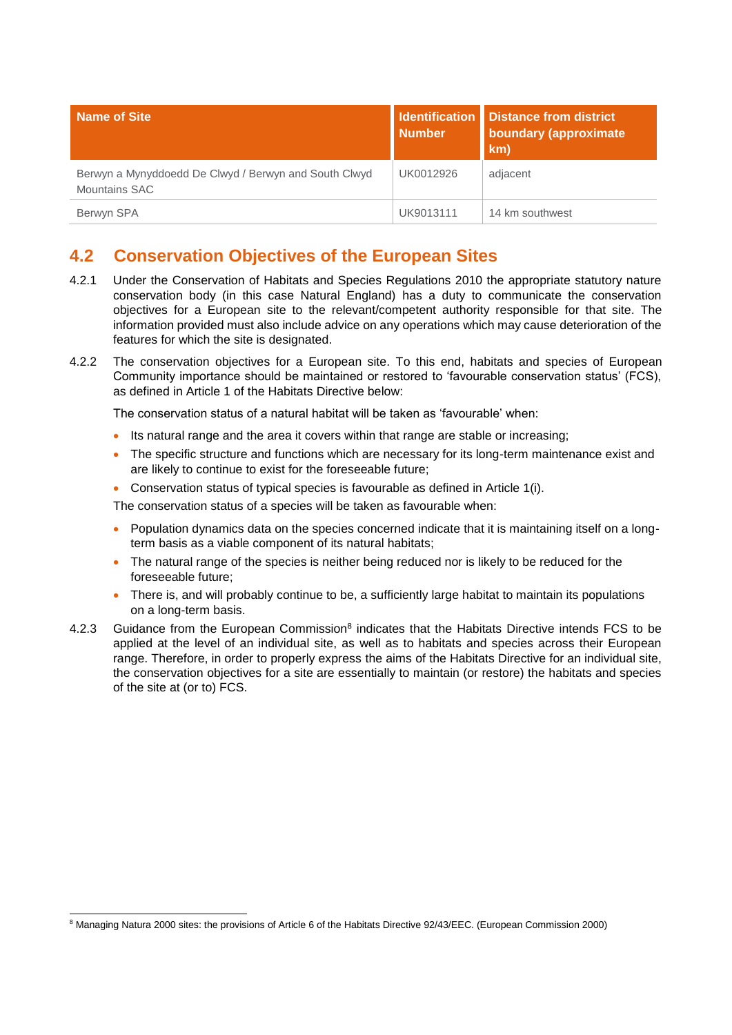| <b>Name of Site</b>                                                    | <b>Number</b> | <b>Identification</b> Distance from district<br>boundary (approximate<br>km) |
|------------------------------------------------------------------------|---------------|------------------------------------------------------------------------------|
| Berwyn a Mynyddoedd De Clwyd / Berwyn and South Clwyd<br>Mountains SAC | UK0012926     | adjacent                                                                     |
| Berwyn SPA                                                             | UK9013111     | 14 km southwest                                                              |

# <span id="page-15-0"></span>**4.2 Conservation Objectives of the European Sites**

- 4.2.1 Under the Conservation of Habitats and Species Regulations 2010 the appropriate statutory nature conservation body (in this case Natural England) has a duty to communicate the conservation objectives for a European site to the relevant/competent authority responsible for that site. The information provided must also include advice on any operations which may cause deterioration of the features for which the site is designated.
- 4.2.2 The conservation objectives for a European site. To this end, habitats and species of European Community importance should be maintained or restored to 'favourable conservation status' (FCS), as defined in Article 1 of the Habitats Directive below:

The conservation status of a natural habitat will be taken as 'favourable' when:

- Its natural range and the area it covers within that range are stable or increasing;
- The specific structure and functions which are necessary for its long-term maintenance exist and are likely to continue to exist for the foreseeable future;
- Conservation status of typical species is favourable as defined in Article 1(i).

The conservation status of a species will be taken as favourable when:

- Population dynamics data on the species concerned indicate that it is maintaining itself on a longterm basis as a viable component of its natural habitats;
- The natural range of the species is neither being reduced nor is likely to be reduced for the foreseeable future;
- There is, and will probably continue to be, a sufficiently large habitat to maintain its populations on a long-term basis.
- 4.2.3 Guidance from the European Commission<sup>8</sup> indicates that the Habitats Directive intends FCS to be applied at the level of an individual site, as well as to habitats and species across their European range. Therefore, in order to properly express the aims of the Habitats Directive for an individual site, the conservation objectives for a site are essentially to maintain (or restore) the habitats and species of the site at (or to) FCS.

<sup>-</sup><sup>8</sup> Managing Natura 2000 sites: the provisions of Article 6 of the Habitats Directive 92/43/EEC. (European Commission 2000)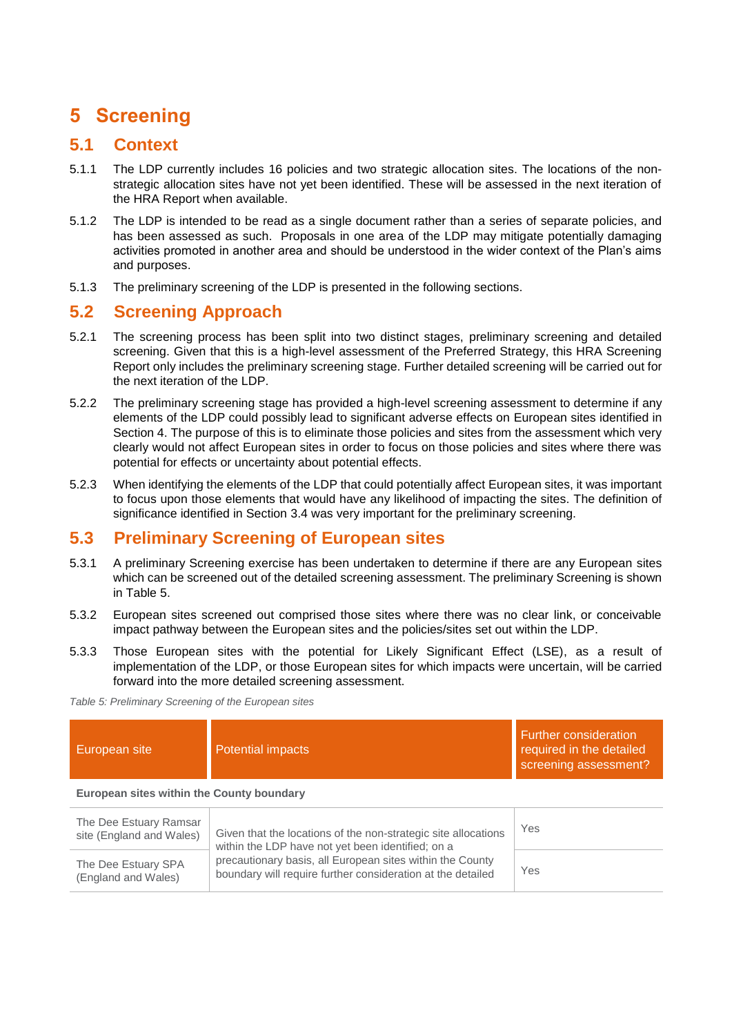# <span id="page-16-0"></span>**5 Screening**

## <span id="page-16-1"></span>**5.1 Context**

- 5.1.1 The LDP currently includes 16 policies and two strategic allocation sites. The locations of the nonstrategic allocation sites have not yet been identified. These will be assessed in the next iteration of the HRA Report when available.
- 5.1.2 The LDP is intended to be read as a single document rather than a series of separate policies, and has been assessed as such. Proposals in one area of the LDP may mitigate potentially damaging activities promoted in another area and should be understood in the wider context of the Plan's aims and purposes.
- 5.1.3 The preliminary screening of the LDP is presented in the following sections.

## <span id="page-16-2"></span>**5.2 Screening Approach**

- 5.2.1 The screening process has been split into two distinct stages, preliminary screening and detailed screening. Given that this is a high-level assessment of the Preferred Strategy, this HRA Screening Report only includes the preliminary screening stage. Further detailed screening will be carried out for the next iteration of the LDP.
- 5.2.2 The preliminary screening stage has provided a high-level screening assessment to determine if any elements of the LDP could possibly lead to significant adverse effects on European sites identified in Section 4. The purpose of this is to eliminate those policies and sites from the assessment which very clearly would not affect European sites in order to focus on those policies and sites where there was potential for effects or uncertainty about potential effects.
- 5.2.3 When identifying the elements of the LDP that could potentially affect European sites, it was important to focus upon those elements that would have any likelihood of impacting the sites. The definition of significance identified in Section 3.4 was very important for the preliminary screening.

# <span id="page-16-3"></span>**5.3 Preliminary Screening of European sites**

- 5.3.1 A preliminary Screening exercise has been undertaken to determine if there are any European sites which can be screened out of the detailed screening assessment. The preliminary Screening is shown in [Table 5.](#page-16-4)
- 5.3.2 European sites screened out comprised those sites where there was no clear link, or conceivable impact pathway between the European sites and the policies/sites set out within the LDP.
- 5.3.3 Those European sites with the potential for Likely Significant Effect (LSE), as a result of implementation of the LDP, or those European sites for which impacts were uncertain, will be carried forward into the more detailed screening assessment.

<span id="page-16-4"></span>*Table 5: Preliminary Screening of the European sites*

| European site                                      | Potential impacts                                                                                                        | <b>Further consideration</b><br>required in the detailed<br>screening assessment? |  |  |
|----------------------------------------------------|--------------------------------------------------------------------------------------------------------------------------|-----------------------------------------------------------------------------------|--|--|
| European sites within the County boundary          |                                                                                                                          |                                                                                   |  |  |
| The Dee Estuary Ramsar<br>site (England and Wales) | Given that the locations of the non-strategic site allocations<br>within the LDP have not yet been identified; on a      | Yes                                                                               |  |  |
| The Dee Estuary SPA<br>(England and Wales)         | precautionary basis, all European sites within the County<br>boundary will require further consideration at the detailed | Yes                                                                               |  |  |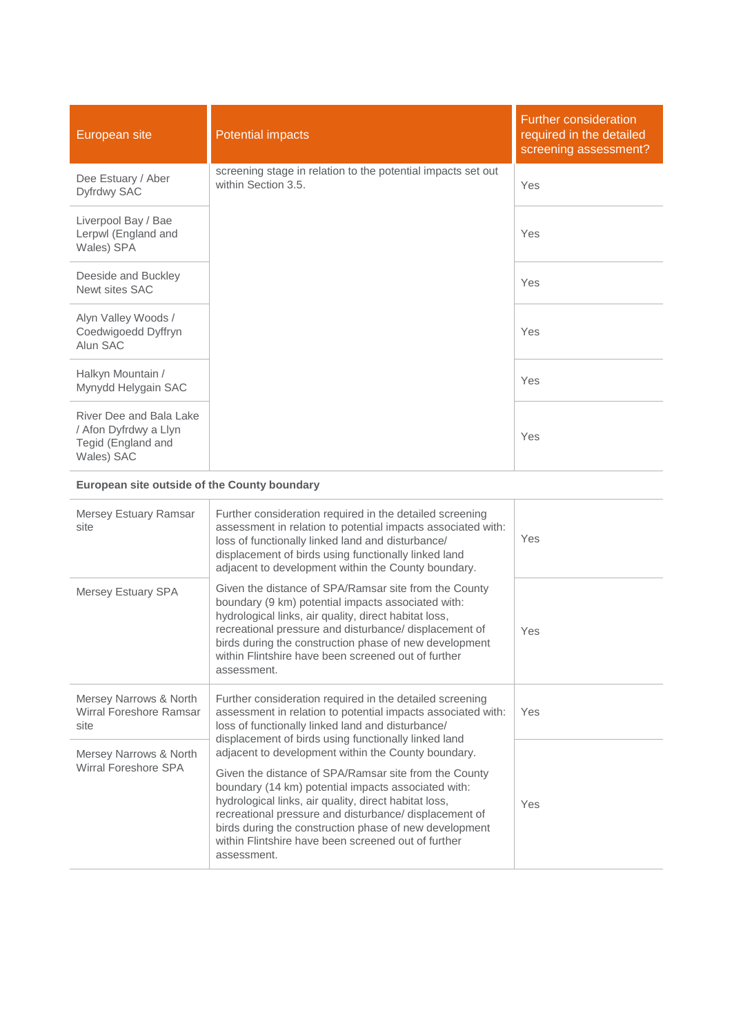| European site                                                                        | <b>Potential impacts</b>                                                            | <b>Further consideration</b><br>required in the detailed<br>screening assessment? |
|--------------------------------------------------------------------------------------|-------------------------------------------------------------------------------------|-----------------------------------------------------------------------------------|
| Dee Estuary / Aber<br>Dyfrdwy SAC                                                    | screening stage in relation to the potential impacts set out<br>within Section 3.5. | Yes                                                                               |
| Liverpool Bay / Bae<br>Lerpwl (England and<br>Wales) SPA                             |                                                                                     | Yes                                                                               |
| Deeside and Buckley<br>Newt sites SAC                                                |                                                                                     | Yes                                                                               |
| Alyn Valley Woods /<br>Coedwigoedd Dyffryn<br>Alun SAC                               |                                                                                     | Yes                                                                               |
| Halkyn Mountain /<br>Mynydd Helygain SAC                                             |                                                                                     | Yes                                                                               |
| River Dee and Bala Lake<br>/ Afon Dyfrdwy a Llyn<br>Tegid (England and<br>Wales) SAC |                                                                                     | Yes                                                                               |

## **European site outside of the County boundary**

| Mersey Estuary Ramsar<br>site                             | Further consideration required in the detailed screening<br>assessment in relation to potential impacts associated with:<br>loss of functionally linked land and disturbance/<br>displacement of birds using functionally linked land<br>adjacent to development within the County boundary.                                                                                                                           | Yes |
|-----------------------------------------------------------|------------------------------------------------------------------------------------------------------------------------------------------------------------------------------------------------------------------------------------------------------------------------------------------------------------------------------------------------------------------------------------------------------------------------|-----|
| Mersey Estuary SPA                                        | Given the distance of SPA/Ramsar site from the County<br>boundary (9 km) potential impacts associated with:<br>hydrological links, air quality, direct habitat loss,<br>recreational pressure and disturbance/ displacement of<br>birds during the construction phase of new development<br>within Flintshire have been screened out of further<br>assessment.                                                         | Yes |
| Mersey Narrows & North<br>Wirral Foreshore Ramsar<br>site | Further consideration required in the detailed screening<br>assessment in relation to potential impacts associated with:<br>loss of functionally linked land and disturbance/<br>displacement of birds using functionally linked land                                                                                                                                                                                  | Yes |
| Mersey Narrows & North<br>Wirral Foreshore SPA            | adjacent to development within the County boundary.<br>Given the distance of SPA/Ramsar site from the County<br>boundary (14 km) potential impacts associated with:<br>hydrological links, air quality, direct habitat loss,<br>recreational pressure and disturbance/ displacement of<br>birds during the construction phase of new development<br>within Flintshire have been screened out of further<br>assessment. | Yes |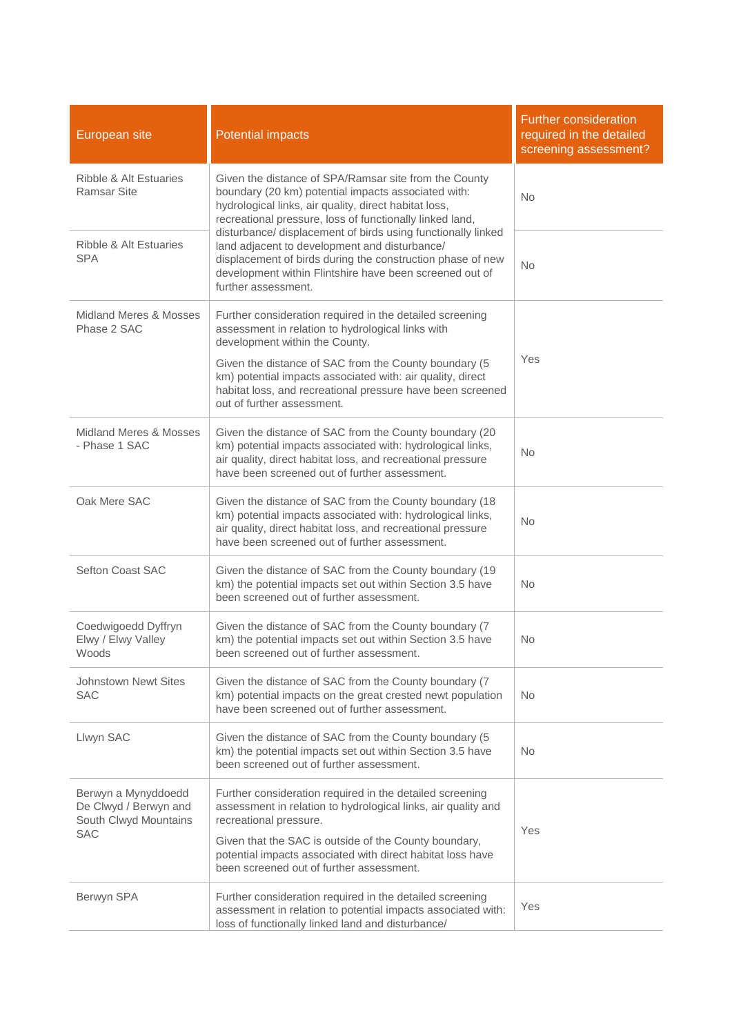| European site                                                                       | <b>Potential impacts</b>                                                                                                                                                                                                                                                                                                                                           | <b>Further consideration</b><br>required in the detailed<br>screening assessment? |
|-------------------------------------------------------------------------------------|--------------------------------------------------------------------------------------------------------------------------------------------------------------------------------------------------------------------------------------------------------------------------------------------------------------------------------------------------------------------|-----------------------------------------------------------------------------------|
| Ribble & Alt Estuaries<br>Ramsar Site                                               | Given the distance of SPA/Ramsar site from the County<br>boundary (20 km) potential impacts associated with:<br>hydrological links, air quality, direct habitat loss,<br>recreational pressure, loss of functionally linked land,                                                                                                                                  | <b>No</b>                                                                         |
| Ribble & Alt Estuaries<br><b>SPA</b>                                                | disturbance/ displacement of birds using functionally linked<br>land adjacent to development and disturbance/<br>displacement of birds during the construction phase of new<br>development within Flintshire have been screened out of<br>further assessment.                                                                                                      | <b>No</b>                                                                         |
| Midland Meres & Mosses<br>Phase 2 SAC                                               | Further consideration required in the detailed screening<br>assessment in relation to hydrological links with<br>development within the County.<br>Given the distance of SAC from the County boundary (5<br>km) potential impacts associated with: air quality, direct<br>habitat loss, and recreational pressure have been screened<br>out of further assessment. | Yes                                                                               |
| Midland Meres & Mosses<br>- Phase 1 SAC                                             | Given the distance of SAC from the County boundary (20<br>km) potential impacts associated with: hydrological links,<br>air quality, direct habitat loss, and recreational pressure<br>have been screened out of further assessment.                                                                                                                               | No.                                                                               |
| Oak Mere SAC                                                                        | Given the distance of SAC from the County boundary (18<br>km) potential impacts associated with: hydrological links,<br>air quality, direct habitat loss, and recreational pressure<br>have been screened out of further assessment.                                                                                                                               | <b>No</b>                                                                         |
| <b>Sefton Coast SAC</b>                                                             | Given the distance of SAC from the County boundary (19<br>km) the potential impacts set out within Section 3.5 have<br>been screened out of further assessment.                                                                                                                                                                                                    | <b>No</b>                                                                         |
| Coedwigoedd Dyffryn<br>Elwy / Elwy Valley<br>Woods                                  | Given the distance of SAC from the County boundary (7<br>km) the potential impacts set out within Section 3.5 have<br>been screened out of further assessment.                                                                                                                                                                                                     | <b>No</b>                                                                         |
| <b>Johnstown Newt Sites</b><br><b>SAC</b>                                           | Given the distance of SAC from the County boundary (7<br>km) potential impacts on the great crested newt population<br>have been screened out of further assessment.                                                                                                                                                                                               | <b>No</b>                                                                         |
| Llwyn SAC                                                                           | Given the distance of SAC from the County boundary (5<br>km) the potential impacts set out within Section 3.5 have<br>been screened out of further assessment.                                                                                                                                                                                                     | <b>No</b>                                                                         |
| Berwyn a Mynyddoedd<br>De Clwyd / Berwyn and<br>South Clwyd Mountains<br><b>SAC</b> | Further consideration required in the detailed screening<br>assessment in relation to hydrological links, air quality and<br>recreational pressure.<br>Given that the SAC is outside of the County boundary,<br>potential impacts associated with direct habitat loss have<br>been screened out of further assessment.                                             | Yes                                                                               |
| Berwyn SPA                                                                          | Further consideration required in the detailed screening<br>assessment in relation to potential impacts associated with:<br>loss of functionally linked land and disturbance/                                                                                                                                                                                      | Yes                                                                               |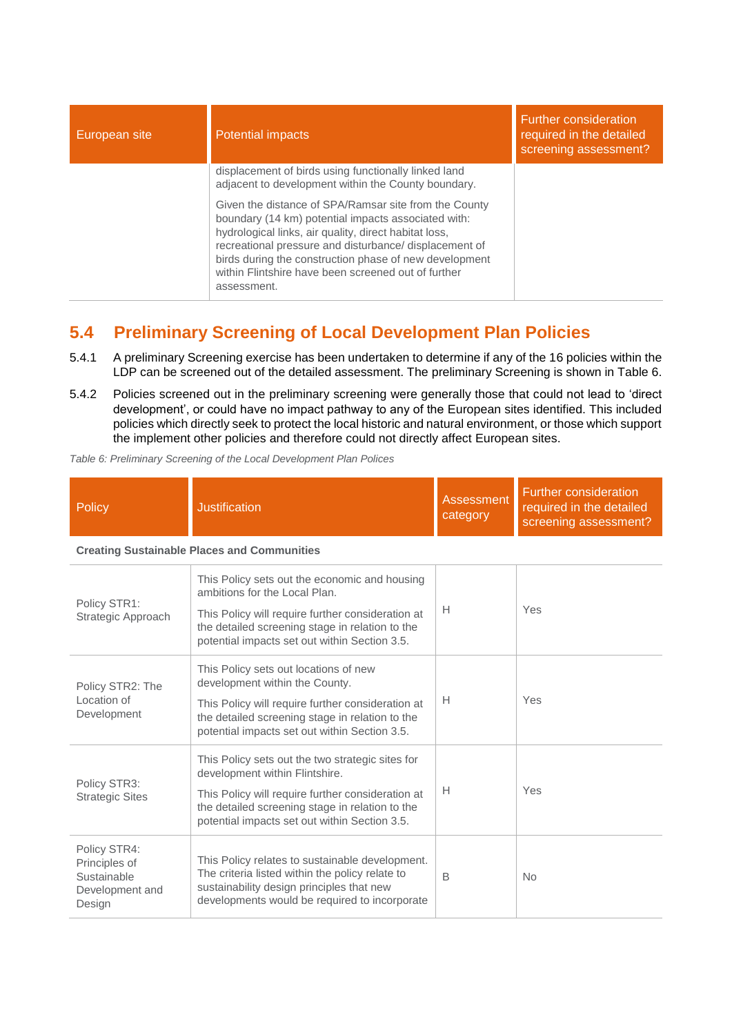| European site | <b>Potential impacts</b>                                                                                                                                                                                                                                                                                                                                        | Further consideration<br>required in the detailed<br>screening assessment? |
|---------------|-----------------------------------------------------------------------------------------------------------------------------------------------------------------------------------------------------------------------------------------------------------------------------------------------------------------------------------------------------------------|----------------------------------------------------------------------------|
|               | displacement of birds using functionally linked land<br>adjacent to development within the County boundary.                                                                                                                                                                                                                                                     |                                                                            |
|               | Given the distance of SPA/Ramsar site from the County<br>boundary (14 km) potential impacts associated with:<br>hydrological links, air quality, direct habitat loss,<br>recreational pressure and disturbance/ displacement of<br>birds during the construction phase of new development<br>within Flintshire have been screened out of further<br>assessment. |                                                                            |

# <span id="page-19-0"></span>**5.4 Preliminary Screening of Local Development Plan Policies**

- 5.4.1 A preliminary Screening exercise has been undertaken to determine if any of the 16 policies within the LDP can be screened out of the detailed assessment. The preliminary Screening is shown in [Table 6.](#page-19-1)
- 5.4.2 Policies screened out in the preliminary screening were generally those that could not lead to 'direct development', or could have no impact pathway to any of the European sites identified. This included policies which directly seek to protect the local historic and natural environment, or those which support the implement other policies and therefore could not directly affect European sites.

<span id="page-19-1"></span>*Table 6: Preliminary Screening of the Local Development Plan Polices*

| Policy       | <b>Justification</b>                                                           | Assessment<br>category | <b>Further consideration</b><br>required in the detailed<br>screening assessment? |
|--------------|--------------------------------------------------------------------------------|------------------------|-----------------------------------------------------------------------------------|
|              | <b>Creating Sustainable Places and Communities</b>                             |                        |                                                                                   |
| Policy STR1. | This Policy sets out the economic and housing<br>ambitions for the Local Plan. |                        |                                                                                   |

| Policy STR1:<br>Strategic Approach                                        | ambitions for the Local Plan.<br>This Policy will require further consideration at<br>the detailed screening stage in relation to the<br>potential impacts set out within Section 3.5.                                                      | H | Yes            |
|---------------------------------------------------------------------------|---------------------------------------------------------------------------------------------------------------------------------------------------------------------------------------------------------------------------------------------|---|----------------|
| Policy STR2: The<br>Location of<br>Development                            | This Policy sets out locations of new<br>development within the County.<br>This Policy will require further consideration at<br>the detailed screening stage in relation to the<br>potential impacts set out within Section 3.5.            | H | Yes            |
| Policy STR3:<br><b>Strategic Sites</b>                                    | This Policy sets out the two strategic sites for<br>development within Flintshire.<br>This Policy will require further consideration at<br>the detailed screening stage in relation to the<br>potential impacts set out within Section 3.5. | H | Yes            |
| Policy STR4:<br>Principles of<br>Sustainable<br>Development and<br>Design | This Policy relates to sustainable development.<br>The criteria listed within the policy relate to<br>sustainability design principles that new<br>developments would be required to incorporate                                            | B | N <sub>o</sub> |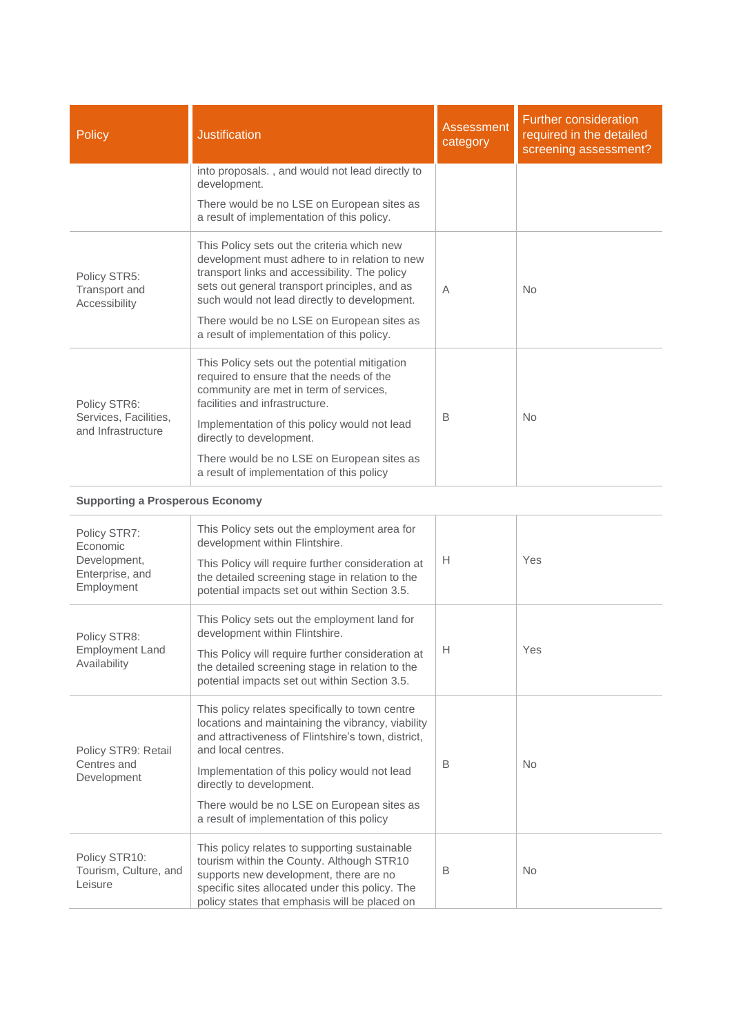| <b>Policy</b>                                                             | <b>Justification</b>                                                                                                                                                                                                                                                                                                                                    | <b>Assessment</b><br>category                                 | <b>Further consideration</b><br>required in the detailed<br>screening assessment? |
|---------------------------------------------------------------------------|---------------------------------------------------------------------------------------------------------------------------------------------------------------------------------------------------------------------------------------------------------------------------------------------------------------------------------------------------------|---------------------------------------------------------------|-----------------------------------------------------------------------------------|
|                                                                           | into proposals., and would not lead directly to<br>development.                                                                                                                                                                                                                                                                                         |                                                               |                                                                                   |
|                                                                           | There would be no LSE on European sites as<br>a result of implementation of this policy.                                                                                                                                                                                                                                                                |                                                               |                                                                                   |
| Policy STR5:<br>Transport and<br>Accessibility                            | This Policy sets out the criteria which new<br>development must adhere to in relation to new<br>transport links and accessibility. The policy<br>sets out general transport principles, and as<br>such would not lead directly to development.<br>There would be no LSE on European sites as<br>a result of implementation of this policy.              | A                                                             | No                                                                                |
| Policy STR6:<br>Services, Facilities,                                     | This Policy sets out the potential mitigation<br>required to ensure that the needs of the<br>community are met in term of services,<br>facilities and infrastructure.                                                                                                                                                                                   | B                                                             | <b>No</b>                                                                         |
| and Infrastructure                                                        | Implementation of this policy would not lead<br>directly to development.<br>There would be no LSE on European sites as<br>a result of implementation of this policy                                                                                                                                                                                     |                                                               |                                                                                   |
| <b>Supporting a Prosperous Economy</b>                                    |                                                                                                                                                                                                                                                                                                                                                         |                                                               |                                                                                   |
| Policy STR7:<br>Economic<br>Development,<br>Enterprise, and<br>Employment | This Policy sets out the employment area for<br>development within Flintshire.<br>This Policy will require further consideration at<br>the detailed screening stage in relation to the<br>potential impacts set out within Section 3.5.                                                                                                                 | н                                                             | Yes                                                                               |
| Policy STR8:<br><b>Employment Land</b><br>Availability                    | This Policy sets out the employment land for<br>development within Flintshire.<br>This Policy will require further consideration at<br>the detailed screening stage in relation to the<br>potential impacts set out within Section 3.5.                                                                                                                 | $\mathsf{H}% _{\mathbb{R}}^{1}\!\left( \mathbb{R}^{2}\right)$ | Yes                                                                               |
| Policy STR9: Retail<br>Centres and<br>Development                         | This policy relates specifically to town centre<br>locations and maintaining the vibrancy, viability<br>and attractiveness of Flintshire's town, district,<br>and local centres.<br>Implementation of this policy would not lead<br>directly to development.<br>There would be no LSE on European sites as<br>a result of implementation of this policy | B                                                             | <b>No</b>                                                                         |
| Policy STR10:<br>Tourism, Culture, and                                    | This policy relates to supporting sustainable<br>tourism within the County. Although STR10<br>supports new development, there are no                                                                                                                                                                                                                    | B                                                             | <b>No</b>                                                                         |

specific sites allocated under this policy. The policy states that emphasis will be placed on

Leisure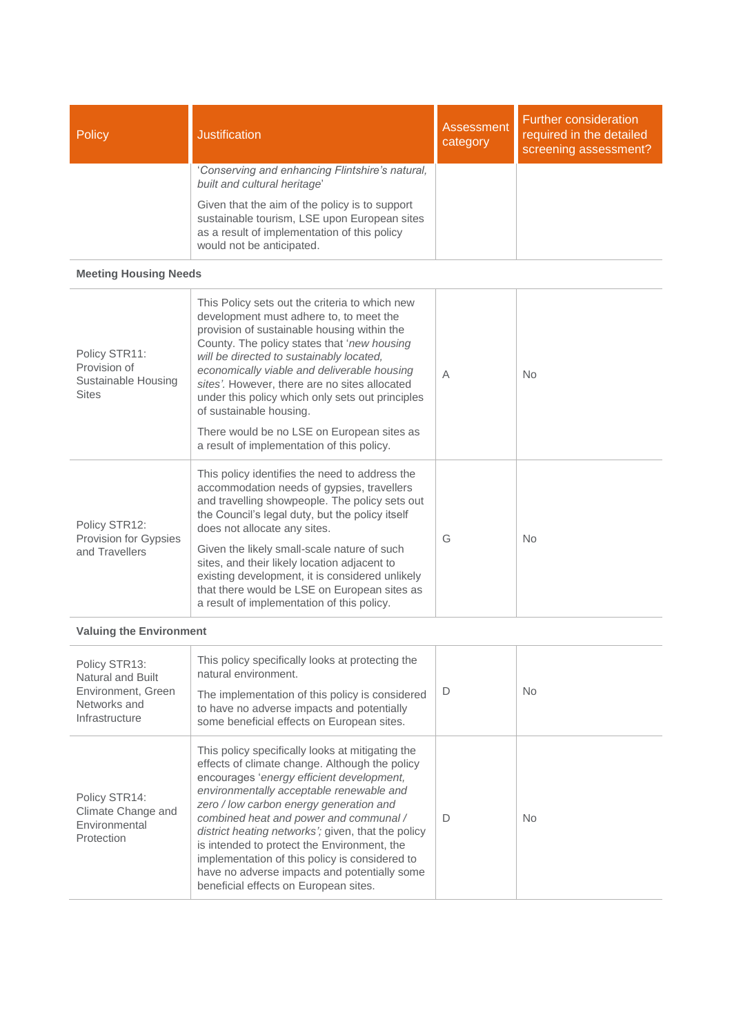| Policy | <b>Justification</b>                                                                                                                                                        | <b>Assessment</b><br>category | <b>Further consideration</b><br>required in the detailed<br>screening assessment? |
|--------|-----------------------------------------------------------------------------------------------------------------------------------------------------------------------------|-------------------------------|-----------------------------------------------------------------------------------|
|        | 'Conserving and enhancing Flintshire's natural,<br>built and cultural heritage'                                                                                             |                               |                                                                                   |
|        | Given that the aim of the policy is to support<br>sustainable tourism, LSE upon European sites<br>as a result of implementation of this policy<br>would not be anticipated. |                               |                                                                                   |

#### **Meeting Housing Needs**

| Policy STR11:<br>Provision of<br>Sustainable Housing<br><b>Sites</b> | This Policy sets out the criteria to which new<br>development must adhere to, to meet the<br>provision of sustainable housing within the<br>County. The policy states that 'new housing<br>will be directed to sustainably located,<br>economically viable and deliverable housing<br>sites'. However, there are no sites allocated<br>under this policy which only sets out principles<br>of sustainable housing.<br>There would be no LSE on European sites as<br>a result of implementation of this policy. | A | N <sub>o</sub> |
|----------------------------------------------------------------------|----------------------------------------------------------------------------------------------------------------------------------------------------------------------------------------------------------------------------------------------------------------------------------------------------------------------------------------------------------------------------------------------------------------------------------------------------------------------------------------------------------------|---|----------------|
| Policy STR12:<br>Provision for Gypsies<br>and Travellers             | This policy identifies the need to address the<br>accommodation needs of gypsies, travellers<br>and travelling showpeople. The policy sets out<br>the Council's legal duty, but the policy itself<br>does not allocate any sites.<br>Given the likely small-scale nature of such<br>sites, and their likely location adjacent to<br>existing development, it is considered unlikely<br>that there would be LSE on European sites as<br>a result of implementation of this policy.                              | G | <b>No</b>      |

## **Valuing the Environment**

| Policy STR13:<br>Natural and Built<br>Environment, Green<br>Networks and<br>Infrastructure | This policy specifically looks at protecting the<br>natural environment.<br>The implementation of this policy is considered<br>to have no adverse impacts and potentially<br>some beneficial effects on European sites.                                                                                                                                                                                                                                                                                                          | D | No.       |
|--------------------------------------------------------------------------------------------|----------------------------------------------------------------------------------------------------------------------------------------------------------------------------------------------------------------------------------------------------------------------------------------------------------------------------------------------------------------------------------------------------------------------------------------------------------------------------------------------------------------------------------|---|-----------|
| Policy STR14:<br>Climate Change and<br>Environmental<br>Protection                         | This policy specifically looks at mitigating the<br>effects of climate change. Although the policy<br>encourages 'energy efficient development,<br>environmentally acceptable renewable and<br>zero / low carbon energy generation and<br>combined heat and power and communal /<br>district heating networks'; given, that the policy<br>is intended to protect the Environment, the<br>implementation of this policy is considered to<br>have no adverse impacts and potentially some<br>beneficial effects on European sites. | D | <b>No</b> |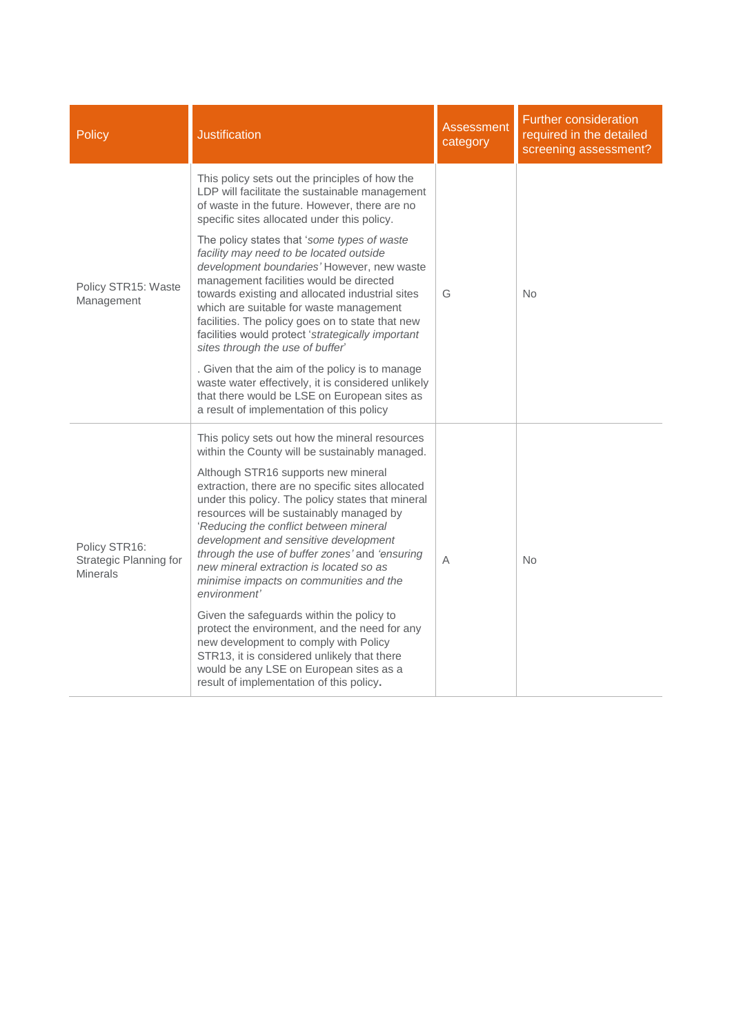| <b>Policy</b>                                              | <b>Justification</b>                                                                                                                                                                                                                                                                                                                                                                                                                                                                                                                                                                                                                                                                                                                                                                                                  | Assessment<br>category | <b>Further consideration</b><br>required in the detailed<br>screening assessment? |
|------------------------------------------------------------|-----------------------------------------------------------------------------------------------------------------------------------------------------------------------------------------------------------------------------------------------------------------------------------------------------------------------------------------------------------------------------------------------------------------------------------------------------------------------------------------------------------------------------------------------------------------------------------------------------------------------------------------------------------------------------------------------------------------------------------------------------------------------------------------------------------------------|------------------------|-----------------------------------------------------------------------------------|
|                                                            | This policy sets out the principles of how the<br>LDP will facilitate the sustainable management<br>of waste in the future. However, there are no<br>specific sites allocated under this policy.                                                                                                                                                                                                                                                                                                                                                                                                                                                                                                                                                                                                                      |                        |                                                                                   |
| Policy STR15: Waste<br>Management                          | The policy states that 'some types of waste<br>facility may need to be located outside<br>development boundaries' However, new waste<br>management facilities would be directed<br>towards existing and allocated industrial sites<br>which are suitable for waste management<br>facilities. The policy goes on to state that new<br>facilities would protect 'strategically important<br>sites through the use of buffer'<br>. Given that the aim of the policy is to manage<br>waste water effectively, it is considered unlikely<br>that there would be LSE on European sites as<br>a result of implementation of this policy                                                                                                                                                                                      | G                      | No                                                                                |
| Policy STR16:<br>Strategic Planning for<br><b>Minerals</b> | This policy sets out how the mineral resources<br>within the County will be sustainably managed.<br>Although STR16 supports new mineral<br>extraction, there are no specific sites allocated<br>under this policy. The policy states that mineral<br>resources will be sustainably managed by<br>'Reducing the conflict between mineral<br>development and sensitive development<br>through the use of buffer zones' and 'ensuring<br>new mineral extraction is located so as<br>minimise impacts on communities and the<br>environment'<br>Given the safeguards within the policy to<br>protect the environment, and the need for any<br>new development to comply with Policy<br>STR13, it is considered unlikely that there<br>would be any LSE on European sites as a<br>result of implementation of this policy. | Α                      | No                                                                                |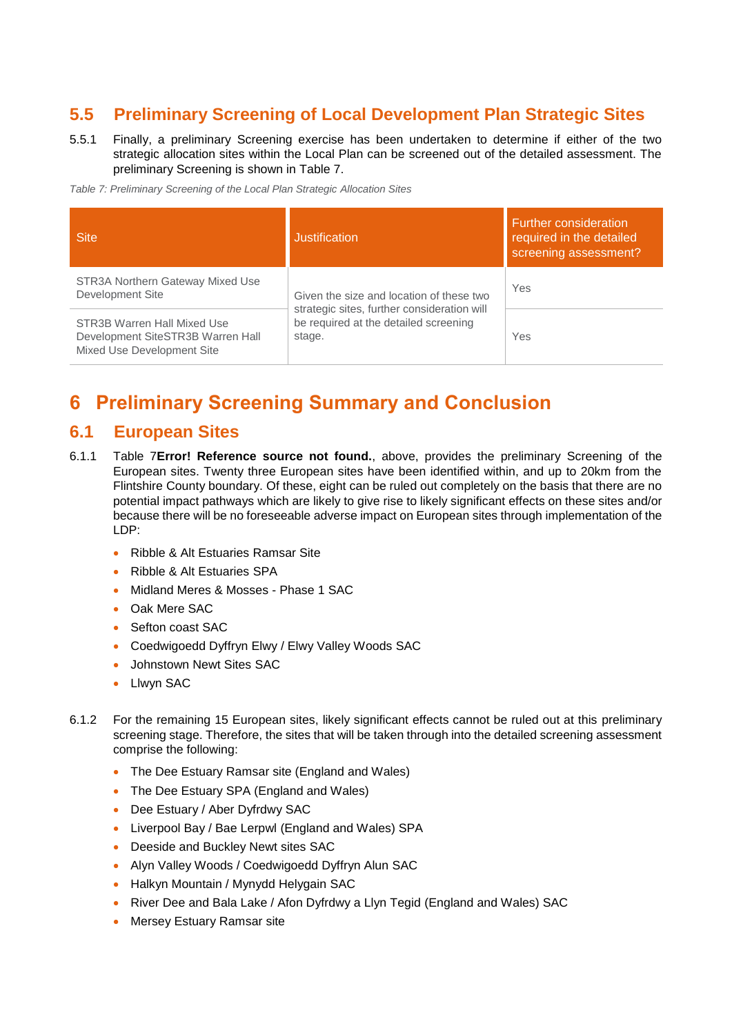# <span id="page-23-0"></span>**5.5 Preliminary Screening of Local Development Plan Strategic Sites**

- 5.5.1 Finally, a preliminary Screening exercise has been undertaken to determine if either of the two strategic allocation sites within the Local Plan can be screened out of the detailed assessment. The preliminary Screening is shown in [Table 7.](#page-23-3)
- <span id="page-23-3"></span>*Table 7: Preliminary Screening of the Local Plan Strategic Allocation Sites*

| <b>Site</b>                                                                                    | <b>Justification</b>                                                                           | <b>Further consideration</b><br>required in the detailed<br>screening assessment? |
|------------------------------------------------------------------------------------------------|------------------------------------------------------------------------------------------------|-----------------------------------------------------------------------------------|
| STR3A Northern Gateway Mixed Use<br>Development Site                                           | Given the size and location of these two                                                       | Yes                                                                               |
| STR3B Warren Hall Mixed Use<br>Development SiteSTR3B Warren Hall<br>Mixed Use Development Site | strategic sites, further consideration will<br>be required at the detailed screening<br>stage. | Yes                                                                               |

# <span id="page-23-1"></span>**6 Preliminary Screening Summary and Conclusion**

## <span id="page-23-2"></span>**6.1 European Sites**

- 6.1.1 [Table 7](#page-23-3)**[Error! Reference source not found.](#page-23-3)**, above, provides the preliminary Screening of the European sites. Twenty three European sites have been identified within, and up to 20km from the Flintshire County boundary. Of these, eight can be ruled out completely on the basis that there are no potential impact pathways which are likely to give rise to likely significant effects on these sites and/or because there will be no foreseeable adverse impact on European sites through implementation of the LDP:
	- Ribble & Alt Estuaries Ramsar Site
	- Ribble & Alt Estuaries SPA
	- Midland Meres & Mosses Phase 1 SAC
	- Oak Mere SAC
	- Sefton coast SAC
	- Coedwigoedd Dyffryn Elwy / Elwy Valley Woods SAC
	- Johnstown Newt Sites SAC
	- Llwyn SAC
- 6.1.2 For the remaining 15 European sites, likely significant effects cannot be ruled out at this preliminary screening stage. Therefore, the sites that will be taken through into the detailed screening assessment comprise the following:
	- The Dee Estuary Ramsar site (England and Wales)
	- The Dee Estuary SPA (England and Wales)
	- Dee Estuary / Aber Dyfrdwy SAC
	- Liverpool Bay / Bae Lerpwl (England and Wales) SPA
	- Deeside and Buckley Newt sites SAC
	- Alyn Valley Woods / Coedwigoedd Dyffryn Alun SAC
	- Halkyn Mountain / Mynydd Helygain SAC
	- River Dee and Bala Lake / Afon Dyfrdwy a Llyn Tegid (England and Wales) SAC
	- Mersey Estuary Ramsar site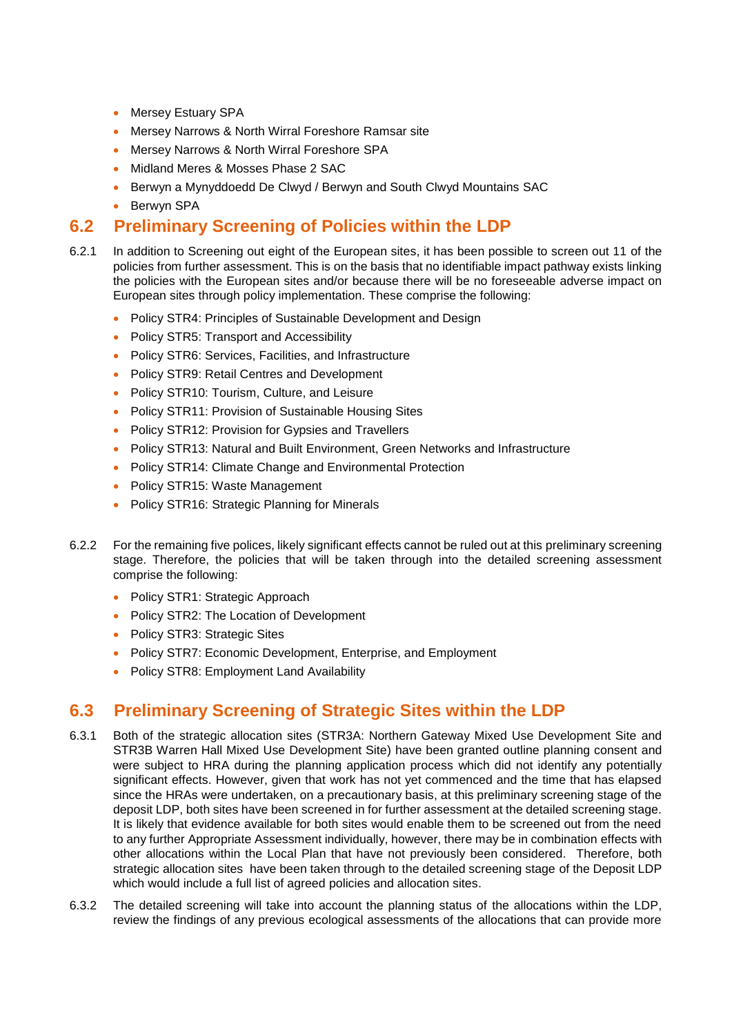- Mersey Estuary SPA
- Mersey Narrows & North Wirral Foreshore Ramsar site
- Mersey Narrows & North Wirral Foreshore SPA
- Midland Meres & Mosses Phase 2 SAC
- Berwyn a Mynyddoedd De Clwyd / Berwyn and South Clwyd Mountains SAC
- Berwyn SPA

# <span id="page-24-0"></span>**6.2 Preliminary Screening of Policies within the LDP**

- 6.2.1 In addition to Screening out eight of the European sites, it has been possible to screen out 11 of the policies from further assessment. This is on the basis that no identifiable impact pathway exists linking the policies with the European sites and/or because there will be no foreseeable adverse impact on European sites through policy implementation. These comprise the following:
	- Policy STR4: Principles of Sustainable Development and Design
	- Policy STR5: Transport and Accessibility
	- Policy STR6: Services, Facilities, and Infrastructure
	- Policy STR9: Retail Centres and Development
	- Policy STR10: Tourism, Culture, and Leisure
	- Policy STR11: Provision of Sustainable Housing Sites
	- Policy STR12: Provision for Gypsies and Travellers
	- Policy STR13: Natural and Built Environment, Green Networks and Infrastructure
	- Policy STR14: Climate Change and Environmental Protection
	- Policy STR15: Waste Management
	- Policy STR16: Strategic Planning for Minerals
- 6.2.2 For the remaining five polices, likely significant effects cannot be ruled out at this preliminary screening stage. Therefore, the policies that will be taken through into the detailed screening assessment comprise the following:
	- Policy STR1: Strategic Approach
	- Policy STR2: The Location of Development
	- Policy STR3: Strategic Sites
	- Policy STR7: Economic Development, Enterprise, and Employment
	- Policy STR8: Employment Land Availability

# <span id="page-24-1"></span>**6.3 Preliminary Screening of Strategic Sites within the LDP**

- 6.3.1 Both of the strategic allocation sites (STR3A: Northern Gateway Mixed Use Development Site and STR3B Warren Hall Mixed Use Development Site) have been granted outline planning consent and were subject to HRA during the planning application process which did not identify any potentially significant effects. However, given that work has not yet commenced and the time that has elapsed since the HRAs were undertaken, on a precautionary basis, at this preliminary screening stage of the deposit LDP, both sites have been screened in for further assessment at the detailed screening stage. It is likely that evidence available for both sites would enable them to be screened out from the need to any further Appropriate Assessment individually, however, there may be in combination effects with other allocations within the Local Plan that have not previously been considered. Therefore, both strategic allocation sites have been taken through to the detailed screening stage of the Deposit LDP which would include a full list of agreed policies and allocation sites.
- 6.3.2 The detailed screening will take into account the planning status of the allocations within the LDP, review the findings of any previous ecological assessments of the allocations that can provide more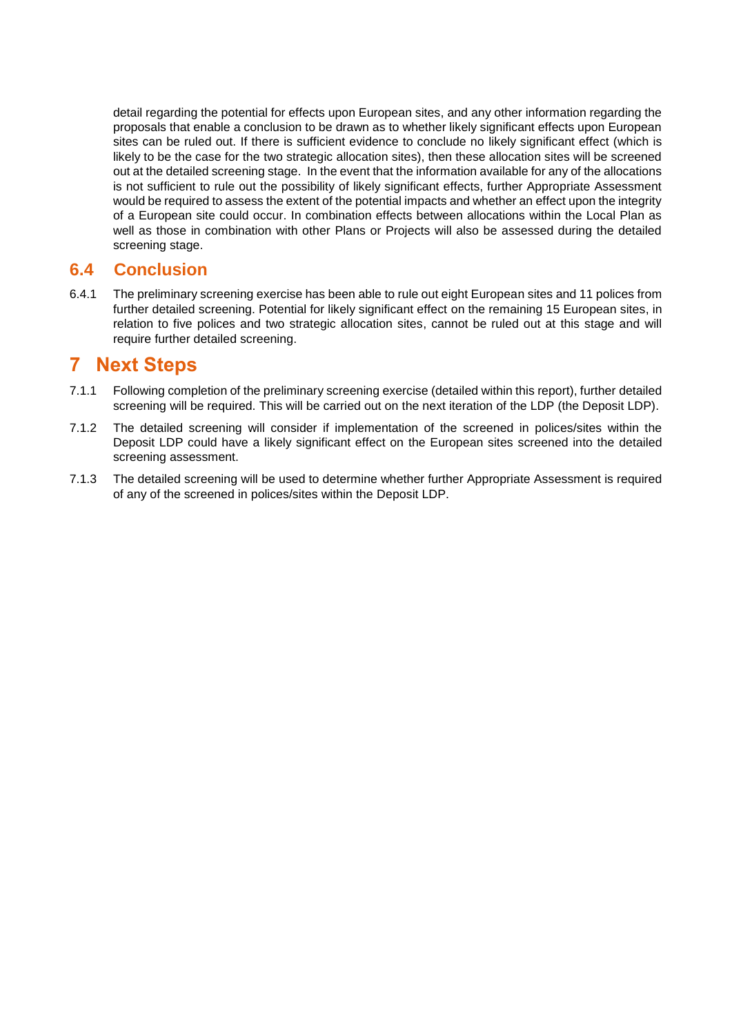detail regarding the potential for effects upon European sites, and any other information regarding the proposals that enable a conclusion to be drawn as to whether likely significant effects upon European sites can be ruled out. If there is sufficient evidence to conclude no likely significant effect (which is likely to be the case for the two strategic allocation sites), then these allocation sites will be screened out at the detailed screening stage. In the event that the information available for any of the allocations is not sufficient to rule out the possibility of likely significant effects, further Appropriate Assessment would be required to assess the extent of the potential impacts and whether an effect upon the integrity of a European site could occur. In combination effects between allocations within the Local Plan as well as those in combination with other Plans or Projects will also be assessed during the detailed screening stage.

# <span id="page-25-0"></span>**6.4 Conclusion**

6.4.1 The preliminary screening exercise has been able to rule out eight European sites and 11 polices from further detailed screening. Potential for likely significant effect on the remaining 15 European sites, in relation to five polices and two strategic allocation sites, cannot be ruled out at this stage and will require further detailed screening.

# <span id="page-25-1"></span>**7 Next Steps**

- 7.1.1 Following completion of the preliminary screening exercise (detailed within this report), further detailed screening will be required. This will be carried out on the next iteration of the LDP (the Deposit LDP).
- 7.1.2 The detailed screening will consider if implementation of the screened in polices/sites within the Deposit LDP could have a likely significant effect on the European sites screened into the detailed screening assessment.
- 7.1.3 The detailed screening will be used to determine whether further Appropriate Assessment is required of any of the screened in polices/sites within the Deposit LDP.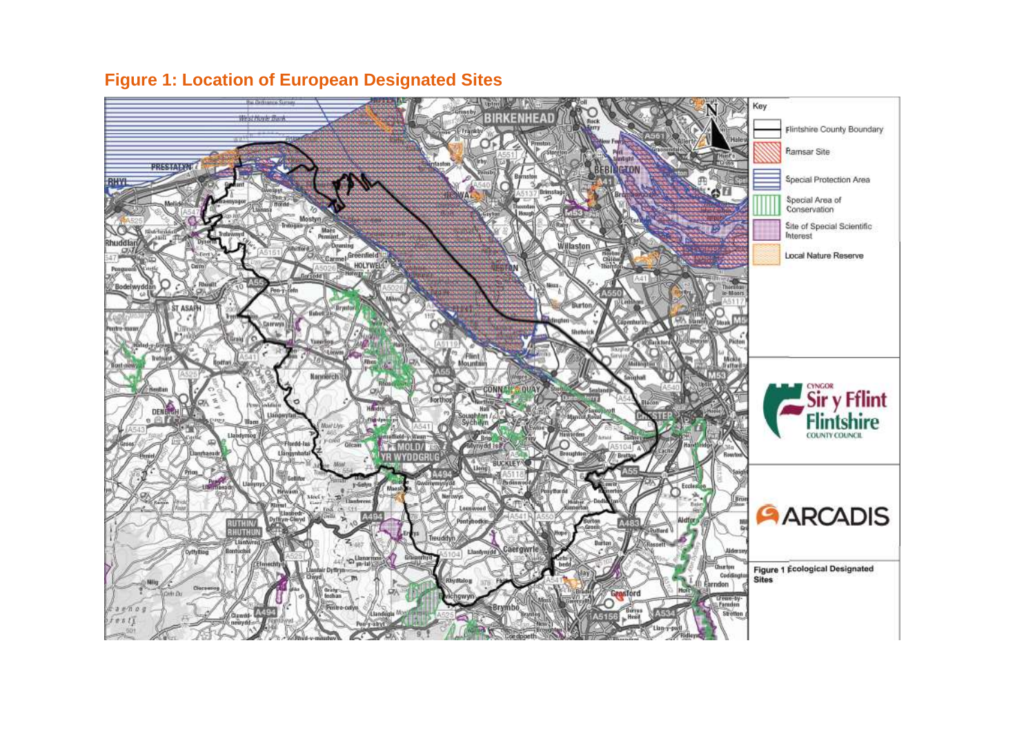<span id="page-26-0"></span>

# **Figure 1: Location of European Designated Sites**